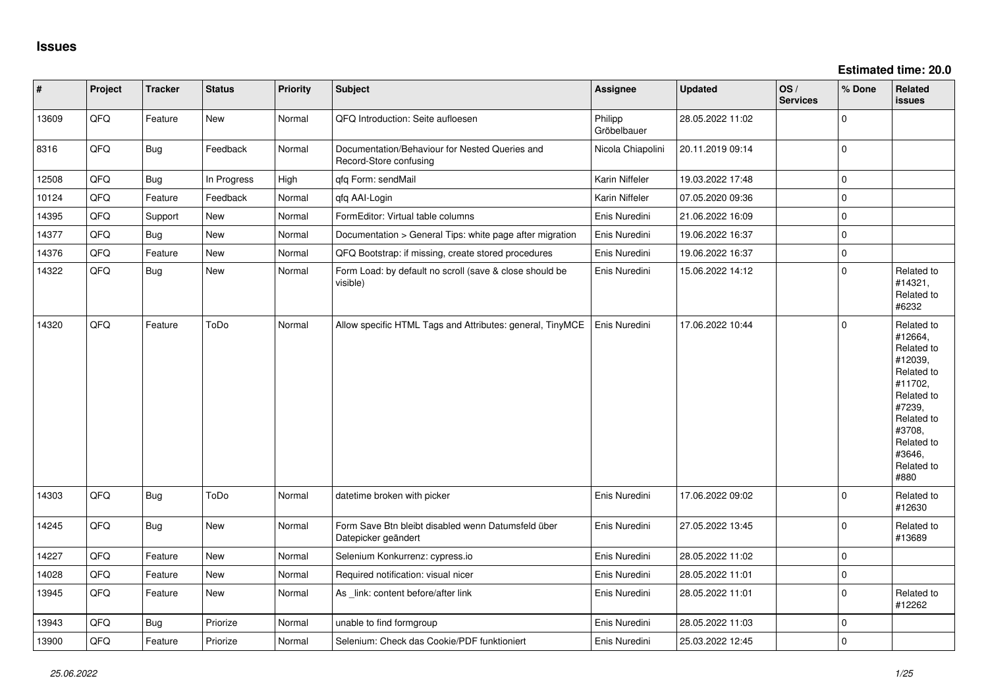| $\vert$ # | Project | <b>Tracker</b> | <b>Status</b> | Priority | Subject                                                                   | <b>Assignee</b>        | <b>Updated</b>   | OS/<br><b>Services</b> | % Done      | Related<br><b>issues</b>                                                                                                                                              |
|-----------|---------|----------------|---------------|----------|---------------------------------------------------------------------------|------------------------|------------------|------------------------|-------------|-----------------------------------------------------------------------------------------------------------------------------------------------------------------------|
| 13609     | QFQ     | Feature        | New           | Normal   | QFQ Introduction: Seite aufloesen                                         | Philipp<br>Gröbelbauer | 28.05.2022 11:02 |                        | 0           |                                                                                                                                                                       |
| 8316      | QFQ     | Bug            | Feedback      | Normal   | Documentation/Behaviour for Nested Queries and<br>Record-Store confusing  | Nicola Chiapolini      | 20.11.2019 09:14 |                        | $\Omega$    |                                                                                                                                                                       |
| 12508     | QFQ     | Bug            | In Progress   | High     | qfq Form: sendMail                                                        | Karin Niffeler         | 19.03.2022 17:48 |                        | $\Omega$    |                                                                                                                                                                       |
| 10124     | QFQ     | Feature        | Feedback      | Normal   | qfq AAI-Login                                                             | Karin Niffeler         | 07.05.2020 09:36 |                        | 0           |                                                                                                                                                                       |
| 14395     | QFQ     | Support        | New           | Normal   | FormEditor: Virtual table columns                                         | Enis Nuredini          | 21.06.2022 16:09 |                        | $\mathbf 0$ |                                                                                                                                                                       |
| 14377     | QFQ     | Bug            | <b>New</b>    | Normal   | Documentation > General Tips: white page after migration                  | Enis Nuredini          | 19.06.2022 16:37 |                        | $\mathbf 0$ |                                                                                                                                                                       |
| 14376     | QFQ     | Feature        | <b>New</b>    | Normal   | QFQ Bootstrap: if missing, create stored procedures                       | Enis Nuredini          | 19.06.2022 16:37 |                        | $\Omega$    |                                                                                                                                                                       |
| 14322     | QFQ     | Bug            | New           | Normal   | Form Load: by default no scroll (save & close should be<br>visible)       | Enis Nuredini          | 15.06.2022 14:12 |                        | $\Omega$    | Related to<br>#14321,<br>Related to<br>#6232                                                                                                                          |
| 14320     | QFQ     | Feature        | ToDo          | Normal   | Allow specific HTML Tags and Attributes: general, TinyMCE                 | Enis Nuredini          | 17.06.2022 10:44 |                        | $\Omega$    | Related to<br>#12664,<br>Related to<br>#12039,<br>Related to<br>#11702,<br>Related to<br>#7239,<br>Related to<br>#3708,<br>Related to<br>#3646,<br>Related to<br>#880 |
| 14303     | QFQ     | Bug            | ToDo          | Normal   | datetime broken with picker                                               | Enis Nuredini          | 17.06.2022 09:02 |                        | 0           | Related to<br>#12630                                                                                                                                                  |
| 14245     | QFQ     | <b>Bug</b>     | New           | Normal   | Form Save Btn bleibt disabled wenn Datumsfeld über<br>Datepicker geändert | Enis Nuredini          | 27.05.2022 13:45 |                        | $\Omega$    | Related to<br>#13689                                                                                                                                                  |
| 14227     | QFQ     | Feature        | <b>New</b>    | Normal   | Selenium Konkurrenz: cypress.io                                           | Enis Nuredini          | 28.05.2022 11:02 |                        | 0           |                                                                                                                                                                       |
| 14028     | QFQ     | Feature        | <b>New</b>    | Normal   | Required notification: visual nicer                                       | Enis Nuredini          | 28.05.2022 11:01 |                        | $\Omega$    |                                                                                                                                                                       |
| 13945     | QFQ     | Feature        | New           | Normal   | As _link: content before/after link                                       | Enis Nuredini          | 28.05.2022 11:01 |                        | $\Omega$    | Related to<br>#12262                                                                                                                                                  |
| 13943     | QFQ     | <b>Bug</b>     | Priorize      | Normal   | unable to find formgroup                                                  | Enis Nuredini          | 28.05.2022 11:03 |                        | 0           |                                                                                                                                                                       |
| 13900     | QFQ     | Feature        | Priorize      | Normal   | Selenium: Check das Cookie/PDF funktioniert                               | Enis Nuredini          | 25.03.2022 12:45 |                        | $\Omega$    |                                                                                                                                                                       |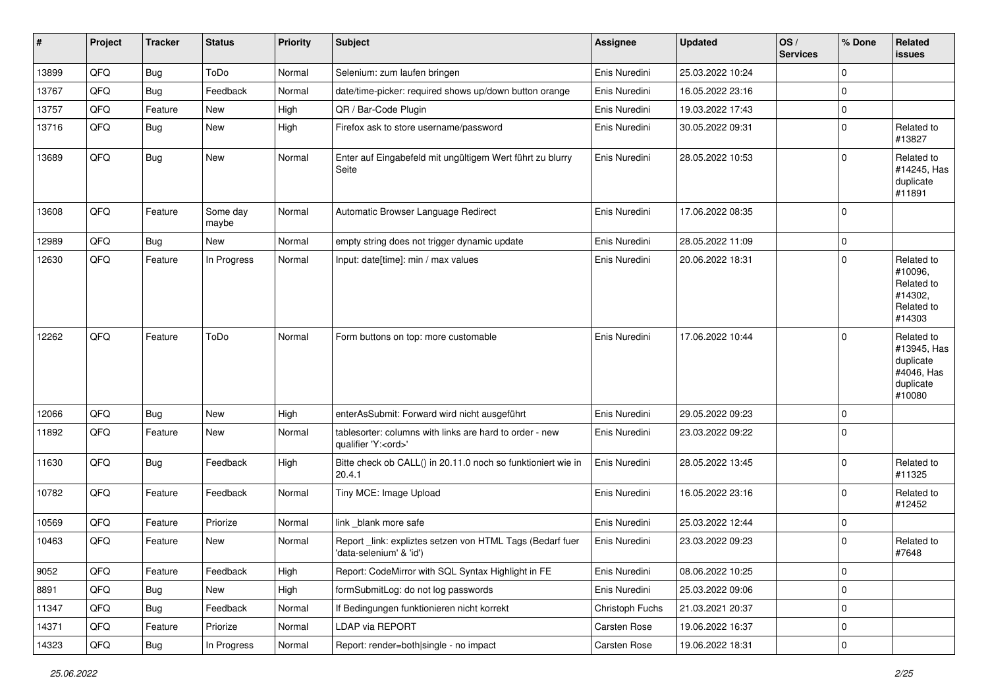| #     | Project | <b>Tracker</b> | <b>Status</b>     | <b>Priority</b> | <b>Subject</b>                                                                        | <b>Assignee</b> | <b>Updated</b>   | OS/<br><b>Services</b> | % Done      | <b>Related</b><br>issues                                                    |
|-------|---------|----------------|-------------------|-----------------|---------------------------------------------------------------------------------------|-----------------|------------------|------------------------|-------------|-----------------------------------------------------------------------------|
| 13899 | QFQ     | Bug            | ToDo              | Normal          | Selenium: zum laufen bringen                                                          | Enis Nuredini   | 25.03.2022 10:24 |                        | $\mathbf 0$ |                                                                             |
| 13767 | QFQ     | Bug            | Feedback          | Normal          | date/time-picker: required shows up/down button orange                                | Enis Nuredini   | 16.05.2022 23:16 |                        | 0           |                                                                             |
| 13757 | QFQ     | Feature        | New               | High            | QR / Bar-Code Plugin                                                                  | Enis Nuredini   | 19.03.2022 17:43 |                        | $\mathbf 0$ |                                                                             |
| 13716 | QFQ     | Bug            | New               | High            | Firefox ask to store username/password                                                | Enis Nuredini   | 30.05.2022 09:31 |                        | 0           | Related to<br>#13827                                                        |
| 13689 | QFQ     | Bug            | New               | Normal          | Enter auf Eingabefeld mit ungültigem Wert führt zu blurry<br>Seite                    | Enis Nuredini   | 28.05.2022 10:53 |                        | $\mathbf 0$ | Related to<br>#14245, Has<br>duplicate<br>#11891                            |
| 13608 | QFQ     | Feature        | Some day<br>maybe | Normal          | Automatic Browser Language Redirect                                                   | Enis Nuredini   | 17.06.2022 08:35 |                        | $\mathbf 0$ |                                                                             |
| 12989 | QFQ     | Bug            | New               | Normal          | empty string does not trigger dynamic update                                          | Enis Nuredini   | 28.05.2022 11:09 |                        | $\mathbf 0$ |                                                                             |
| 12630 | QFQ     | Feature        | In Progress       | Normal          | Input: date[time]: min / max values                                                   | Enis Nuredini   | 20.06.2022 18:31 |                        | $\mathbf 0$ | Related to<br>#10096,<br>Related to<br>#14302,<br>Related to<br>#14303      |
| 12262 | QFQ     | Feature        | ToDo              | Normal          | Form buttons on top: more customable                                                  | Enis Nuredini   | 17.06.2022 10:44 |                        | $\Omega$    | Related to<br>#13945, Has<br>duplicate<br>#4046, Has<br>duplicate<br>#10080 |
| 12066 | QFQ     | <b>Bug</b>     | New               | High            | enterAsSubmit: Forward wird nicht ausgeführt                                          | Enis Nuredini   | 29.05.2022 09:23 |                        | $\mathbf 0$ |                                                                             |
| 11892 | QFQ     | Feature        | New               | Normal          | tablesorter: columns with links are hard to order - new<br>qualifier 'Y: <ord>'</ord> | Enis Nuredini   | 23.03.2022 09:22 |                        | $\Omega$    |                                                                             |
| 11630 | QFQ     | Bug            | Feedback          | High            | Bitte check ob CALL() in 20.11.0 noch so funktioniert wie in<br>20.4.1                | Enis Nuredini   | 28.05.2022 13:45 |                        | $\Omega$    | Related to<br>#11325                                                        |
| 10782 | QFQ     | Feature        | Feedback          | Normal          | Tiny MCE: Image Upload                                                                | Enis Nuredini   | 16.05.2022 23:16 |                        | $\mathbf 0$ | Related to<br>#12452                                                        |
| 10569 | QFQ     | Feature        | Priorize          | Normal          | link blank more safe                                                                  | Enis Nuredini   | 25.03.2022 12:44 |                        | $\mathbf 0$ |                                                                             |
| 10463 | QFQ     | Feature        | New               | Normal          | Report link: expliztes setzen von HTML Tags (Bedarf fuer<br>'data-selenium' & 'id')   | Enis Nuredini   | 23.03.2022 09:23 |                        | $\Omega$    | Related to<br>#7648                                                         |
| 9052  | QFQ     | Feature        | Feedback          | High            | Report: CodeMirror with SQL Syntax Highlight in FE                                    | Enis Nuredini   | 08.06.2022 10:25 |                        | 0           |                                                                             |
| 8891  | QFQ     | <b>Bug</b>     | New               | High            | formSubmitLog: do not log passwords                                                   | Enis Nuredini   | 25.03.2022 09:06 |                        | 0           |                                                                             |
| 11347 | QFQ     | Bug            | Feedback          | Normal          | If Bedingungen funktionieren nicht korrekt                                            | Christoph Fuchs | 21.03.2021 20:37 |                        | $\mathsf 0$ |                                                                             |
| 14371 | QFQ     | Feature        | Priorize          | Normal          | LDAP via REPORT                                                                       | Carsten Rose    | 19.06.2022 16:37 |                        | 0           |                                                                             |
| 14323 | QFG     | Bug            | In Progress       | Normal          | Report: render=both single - no impact                                                | Carsten Rose    | 19.06.2022 18:31 |                        | $\pmb{0}$   |                                                                             |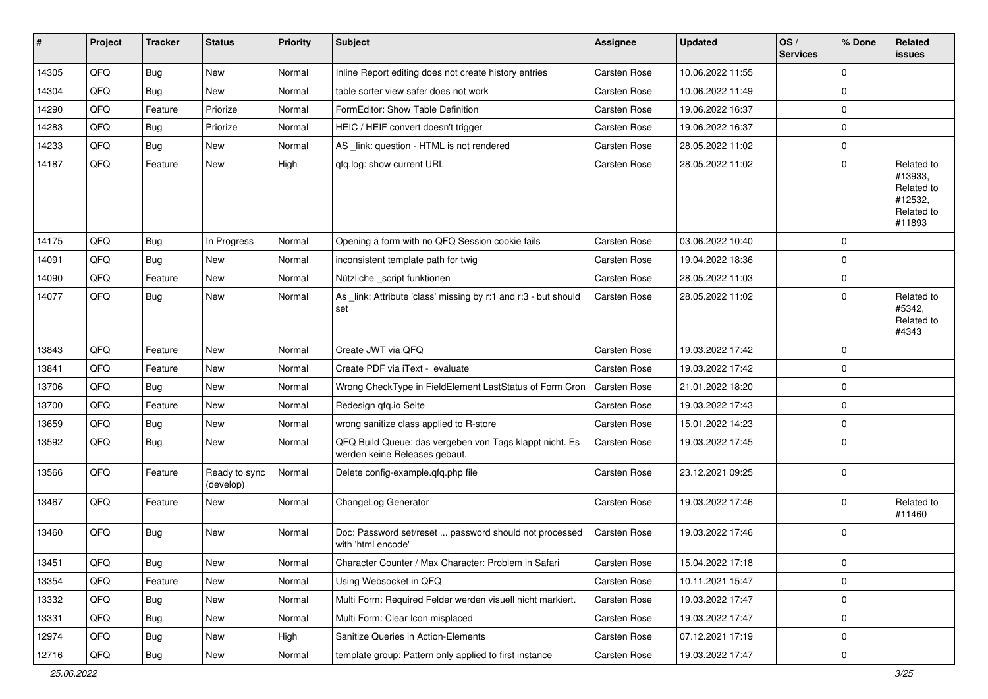| #     | Project | <b>Tracker</b> | <b>Status</b>              | <b>Priority</b> | <b>Subject</b>                                                                           | <b>Assignee</b>     | <b>Updated</b>   | OS/<br><b>Services</b> | % Done      | Related<br><b>issues</b>                                               |
|-------|---------|----------------|----------------------------|-----------------|------------------------------------------------------------------------------------------|---------------------|------------------|------------------------|-------------|------------------------------------------------------------------------|
| 14305 | QFQ     | Bug            | <b>New</b>                 | Normal          | Inline Report editing does not create history entries                                    | Carsten Rose        | 10.06.2022 11:55 |                        | $\mathbf 0$ |                                                                        |
| 14304 | QFQ     | Bug            | <b>New</b>                 | Normal          | table sorter view safer does not work                                                    | Carsten Rose        | 10.06.2022 11:49 |                        | $\mathbf 0$ |                                                                        |
| 14290 | QFQ     | Feature        | Priorize                   | Normal          | FormEditor: Show Table Definition                                                        | <b>Carsten Rose</b> | 19.06.2022 16:37 |                        | $\mathbf 0$ |                                                                        |
| 14283 | QFQ     | Bug            | Priorize                   | Normal          | HEIC / HEIF convert doesn't trigger                                                      | Carsten Rose        | 19.06.2022 16:37 |                        | $\mathbf 0$ |                                                                        |
| 14233 | QFQ     | Bug            | New                        | Normal          | AS _link: question - HTML is not rendered                                                | Carsten Rose        | 28.05.2022 11:02 |                        | $\mathbf 0$ |                                                                        |
| 14187 | QFQ     | Feature        | New                        | High            | qfq.log: show current URL                                                                | Carsten Rose        | 28.05.2022 11:02 |                        | $\mathbf 0$ | Related to<br>#13933,<br>Related to<br>#12532,<br>Related to<br>#11893 |
| 14175 | QFQ     | <b>Bug</b>     | In Progress                | Normal          | Opening a form with no QFQ Session cookie fails                                          | Carsten Rose        | 03.06.2022 10:40 |                        | $\mathbf 0$ |                                                                        |
| 14091 | QFQ     | Bug            | New                        | Normal          | inconsistent template path for twig                                                      | Carsten Rose        | 19.04.2022 18:36 |                        | $\mathbf 0$ |                                                                        |
| 14090 | QFQ     | Feature        | New                        | Normal          | Nützliche _script funktionen                                                             | Carsten Rose        | 28.05.2022 11:03 |                        | $\mathbf 0$ |                                                                        |
| 14077 | QFQ     | Bug            | <b>New</b>                 | Normal          | As _link: Attribute 'class' missing by r:1 and r:3 - but should<br>set                   | Carsten Rose        | 28.05.2022 11:02 |                        | $\Omega$    | Related to<br>#5342,<br>Related to<br>#4343                            |
| 13843 | QFQ     | Feature        | <b>New</b>                 | Normal          | Create JWT via QFQ                                                                       | <b>Carsten Rose</b> | 19.03.2022 17:42 |                        | $\mathbf 0$ |                                                                        |
| 13841 | QFQ     | Feature        | New                        | Normal          | Create PDF via iText - evaluate                                                          | <b>Carsten Rose</b> | 19.03.2022 17:42 |                        | $\mathbf 0$ |                                                                        |
| 13706 | QFQ     | <b>Bug</b>     | New                        | Normal          | Wrong CheckType in FieldElement LastStatus of Form Cron                                  | Carsten Rose        | 21.01.2022 18:20 |                        | 0           |                                                                        |
| 13700 | QFQ     | Feature        | New                        | Normal          | Redesign gfg.io Seite                                                                    | Carsten Rose        | 19.03.2022 17:43 |                        | $\mathbf 0$ |                                                                        |
| 13659 | QFQ     | Bug            | <b>New</b>                 | Normal          | wrong sanitize class applied to R-store                                                  | Carsten Rose        | 15.01.2022 14:23 |                        | 0           |                                                                        |
| 13592 | QFQ     | Bug            | <b>New</b>                 | Normal          | QFQ Build Queue: das vergeben von Tags klappt nicht. Es<br>werden keine Releases gebaut. | Carsten Rose        | 19.03.2022 17:45 |                        | $\mathbf 0$ |                                                                        |
| 13566 | QFQ     | Feature        | Ready to sync<br>(develop) | Normal          | Delete config-example.qfq.php file                                                       | Carsten Rose        | 23.12.2021 09:25 |                        | $\mathbf 0$ |                                                                        |
| 13467 | QFQ     | Feature        | <b>New</b>                 | Normal          | ChangeLog Generator                                                                      | Carsten Rose        | 19.03.2022 17:46 |                        | $\mathbf 0$ | Related to<br>#11460                                                   |
| 13460 | QFQ     | Bug            | New                        | Normal          | Doc: Password set/reset  password should not processed<br>with 'html encode'             | Carsten Rose        | 19.03.2022 17:46 |                        | $\mathbf 0$ |                                                                        |
| 13451 | QFQ     | <b>Bug</b>     | New                        | Normal          | Character Counter / Max Character: Problem in Safari                                     | Carsten Rose        | 15.04.2022 17:18 |                        | $\mathbf 0$ |                                                                        |
| 13354 | QFQ     | Feature        | New                        | Normal          | Using Websocket in QFQ                                                                   | Carsten Rose        | 10.11.2021 15:47 |                        | $\pmb{0}$   |                                                                        |
| 13332 | QFQ     | Bug            | New                        | Normal          | Multi Form: Required Felder werden visuell nicht markiert.                               | Carsten Rose        | 19.03.2022 17:47 |                        | $\mathbf 0$ |                                                                        |
| 13331 | QFQ     | <b>Bug</b>     | New                        | Normal          | Multi Form: Clear Icon misplaced                                                         | Carsten Rose        | 19.03.2022 17:47 |                        | 0           |                                                                        |
| 12974 | QFQ     | <b>Bug</b>     | New                        | High            | Sanitize Queries in Action-Elements                                                      | Carsten Rose        | 07.12.2021 17:19 |                        | $\pmb{0}$   |                                                                        |
| 12716 | QFQ     | Bug            | New                        | Normal          | template group: Pattern only applied to first instance                                   | Carsten Rose        | 19.03.2022 17:47 |                        | $\mathbf 0$ |                                                                        |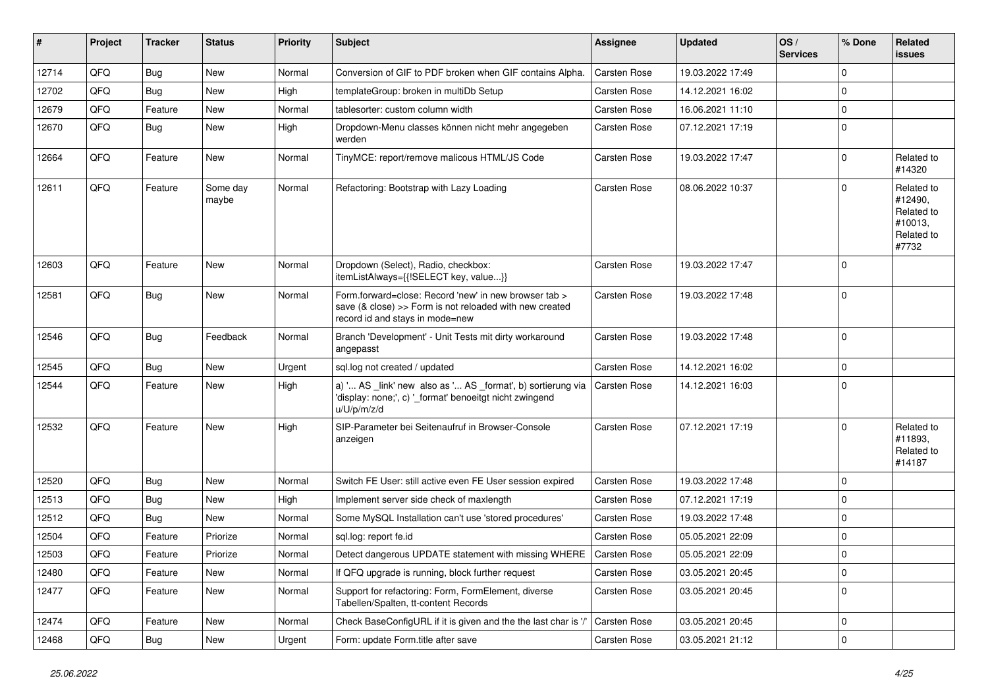| #     | Project | <b>Tracker</b> | <b>Status</b>     | <b>Priority</b> | <b>Subject</b>                                                                                                                                      | <b>Assignee</b>     | <b>Updated</b>   | OS/<br><b>Services</b> | % Done      | Related<br><b>issues</b>                                              |
|-------|---------|----------------|-------------------|-----------------|-----------------------------------------------------------------------------------------------------------------------------------------------------|---------------------|------------------|------------------------|-------------|-----------------------------------------------------------------------|
| 12714 | QFQ     | Bug            | <b>New</b>        | Normal          | Conversion of GIF to PDF broken when GIF contains Alpha.                                                                                            | Carsten Rose        | 19.03.2022 17:49 |                        | $\mathbf 0$ |                                                                       |
| 12702 | QFQ     | Bug            | <b>New</b>        | High            | templateGroup: broken in multiDb Setup                                                                                                              | Carsten Rose        | 14.12.2021 16:02 |                        | $\mathbf 0$ |                                                                       |
| 12679 | QFQ     | Feature        | New               | Normal          | tablesorter: custom column width                                                                                                                    | Carsten Rose        | 16.06.2021 11:10 |                        | $\mathbf 0$ |                                                                       |
| 12670 | QFQ     | Bug            | <b>New</b>        | High            | Dropdown-Menu classes können nicht mehr angegeben<br>werden                                                                                         | Carsten Rose        | 07.12.2021 17:19 |                        | $\mathbf 0$ |                                                                       |
| 12664 | QFQ     | Feature        | New               | Normal          | TinyMCE: report/remove malicous HTML/JS Code                                                                                                        | Carsten Rose        | 19.03.2022 17:47 |                        | $\mathbf 0$ | Related to<br>#14320                                                  |
| 12611 | QFQ     | Feature        | Some day<br>maybe | Normal          | Refactoring: Bootstrap with Lazy Loading                                                                                                            | Carsten Rose        | 08.06.2022 10:37 |                        | $\mathbf 0$ | Related to<br>#12490,<br>Related to<br>#10013,<br>Related to<br>#7732 |
| 12603 | QFQ     | Feature        | New               | Normal          | Dropdown (Select), Radio, checkbox:<br>itemListAlways={{!SELECT key, value}}                                                                        | Carsten Rose        | 19.03.2022 17:47 |                        | $\mathbf 0$ |                                                                       |
| 12581 | QFQ     | Bug            | <b>New</b>        | Normal          | Form.forward=close: Record 'new' in new browser tab ><br>save (& close) >> Form is not reloaded with new created<br>record id and stays in mode=new | <b>Carsten Rose</b> | 19.03.2022 17:48 |                        | $\mathbf 0$ |                                                                       |
| 12546 | QFQ     | Bug            | Feedback          | Normal          | Branch 'Development' - Unit Tests mit dirty workaround<br>angepasst                                                                                 | Carsten Rose        | 19.03.2022 17:48 |                        | $\mathbf 0$ |                                                                       |
| 12545 | QFQ     | <b>Bug</b>     | <b>New</b>        | Urgent          | sql.log not created / updated                                                                                                                       | Carsten Rose        | 14.12.2021 16:02 |                        | $\mathbf 0$ |                                                                       |
| 12544 | QFQ     | Feature        | <b>New</b>        | High            | a) ' AS _link' new also as ' AS _format', b) sortierung via<br>'display: none;', c) '_format' benoeitgt nicht zwingend<br>u/U/p/m/z/d               | Carsten Rose        | 14.12.2021 16:03 |                        | $\mathbf 0$ |                                                                       |
| 12532 | QFQ     | Feature        | <b>New</b>        | High            | SIP-Parameter bei Seitenaufruf in Browser-Console<br>anzeigen                                                                                       | Carsten Rose        | 07.12.2021 17:19 |                        | $\mathbf 0$ | Related to<br>#11893.<br>Related to<br>#14187                         |
| 12520 | QFQ     | Bug            | <b>New</b>        | Normal          | Switch FE User: still active even FE User session expired                                                                                           | <b>Carsten Rose</b> | 19.03.2022 17:48 |                        | $\mathbf 0$ |                                                                       |
| 12513 | QFQ     | <b>Bug</b>     | New               | High            | Implement server side check of maxlength                                                                                                            | Carsten Rose        | 07.12.2021 17:19 |                        | $\mathbf 0$ |                                                                       |
| 12512 | QFQ     | Bug            | <b>New</b>        | Normal          | Some MySQL Installation can't use 'stored procedures'                                                                                               | Carsten Rose        | 19.03.2022 17:48 |                        | 0           |                                                                       |
| 12504 | QFQ     | Feature        | Priorize          | Normal          | sql.log: report fe.id                                                                                                                               | Carsten Rose        | 05.05.2021 22:09 |                        | 0           |                                                                       |
| 12503 | QFQ     | Feature        | Priorize          | Normal          | Detect dangerous UPDATE statement with missing WHERE                                                                                                | <b>Carsten Rose</b> | 05.05.2021 22:09 |                        | $\mathbf 0$ |                                                                       |
| 12480 | QFQ     | Feature        | <b>New</b>        | Normal          | If QFQ upgrade is running, block further request                                                                                                    | Carsten Rose        | 03.05.2021 20:45 |                        | $\mathbf 0$ |                                                                       |
| 12477 | QFQ     | Feature        | New               | Normal          | Support for refactoring: Form, FormElement, diverse<br>Tabellen/Spalten, tt-content Records                                                         | Carsten Rose        | 03.05.2021 20:45 |                        | $\mathbf 0$ |                                                                       |
| 12474 | QFQ     | Feature        | <b>New</b>        | Normal          | Check BaseConfigURL if it is given and the the last char is '/'                                                                                     | Carsten Rose        | 03.05.2021 20:45 |                        | $\mathbf 0$ |                                                                       |
| 12468 | QFQ     | Bug            | New               | Urgent          | Form: update Form.title after save                                                                                                                  | Carsten Rose        | 03.05.2021 21:12 |                        | $\mathbf 0$ |                                                                       |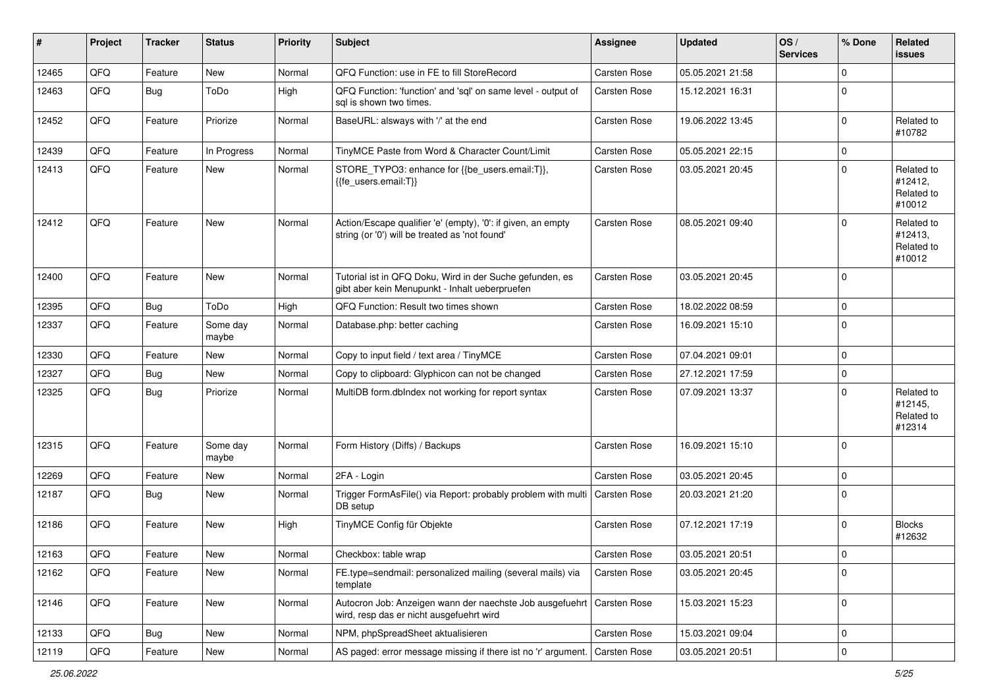| #     | Project | <b>Tracker</b> | <b>Status</b>     | <b>Priority</b> | <b>Subject</b>                                                                                                 | <b>Assignee</b>     | <b>Updated</b>   | OS/<br><b>Services</b> | % Done      | Related<br><b>issues</b>                      |
|-------|---------|----------------|-------------------|-----------------|----------------------------------------------------------------------------------------------------------------|---------------------|------------------|------------------------|-------------|-----------------------------------------------|
| 12465 | QFQ     | Feature        | <b>New</b>        | Normal          | QFQ Function: use in FE to fill StoreRecord                                                                    | Carsten Rose        | 05.05.2021 21:58 |                        | $\mathbf 0$ |                                               |
| 12463 | QFQ     | Bug            | ToDo              | High            | QFQ Function: 'function' and 'sql' on same level - output of<br>sal is shown two times.                        | Carsten Rose        | 15.12.2021 16:31 |                        | $\mathbf 0$ |                                               |
| 12452 | QFQ     | Feature        | Priorize          | Normal          | BaseURL: alsways with '/' at the end                                                                           | Carsten Rose        | 19.06.2022 13:45 |                        | $\mathbf 0$ | Related to<br>#10782                          |
| 12439 | QFQ     | Feature        | In Progress       | Normal          | TinyMCE Paste from Word & Character Count/Limit                                                                | Carsten Rose        | 05.05.2021 22:15 |                        | $\mathbf 0$ |                                               |
| 12413 | QFQ     | Feature        | New               | Normal          | STORE_TYPO3: enhance for {{be_users.email:T}},<br>{{fe users.email:T}}                                         | Carsten Rose        | 03.05.2021 20:45 |                        | $\mathbf 0$ | Related to<br>#12412,<br>Related to<br>#10012 |
| 12412 | QFQ     | Feature        | <b>New</b>        | Normal          | Action/Escape qualifier 'e' (empty), '0': if given, an empty<br>string (or '0') will be treated as 'not found' | Carsten Rose        | 08.05.2021 09:40 |                        | $\mathbf 0$ | Related to<br>#12413,<br>Related to<br>#10012 |
| 12400 | QFQ     | Feature        | <b>New</b>        | Normal          | Tutorial ist in QFQ Doku, Wird in der Suche gefunden, es<br>gibt aber kein Menupunkt - Inhalt ueberpruefen     | Carsten Rose        | 03.05.2021 20:45 |                        | $\mathbf 0$ |                                               |
| 12395 | QFQ     | Bug            | ToDo              | High            | QFQ Function: Result two times shown                                                                           | Carsten Rose        | 18.02.2022 08:59 |                        | $\mathbf 0$ |                                               |
| 12337 | QFQ     | Feature        | Some day<br>maybe | Normal          | Database.php: better caching                                                                                   | Carsten Rose        | 16.09.2021 15:10 |                        | $\mathbf 0$ |                                               |
| 12330 | QFQ     | Feature        | <b>New</b>        | Normal          | Copy to input field / text area / TinyMCE                                                                      | <b>Carsten Rose</b> | 07.04.2021 09:01 |                        | $\mathbf 0$ |                                               |
| 12327 | QFQ     | Bug            | <b>New</b>        | Normal          | Copy to clipboard: Glyphicon can not be changed                                                                | Carsten Rose        | 27.12.2021 17:59 |                        | $\mathbf 0$ |                                               |
| 12325 | QFQ     | Bug            | Priorize          | Normal          | MultiDB form.dblndex not working for report syntax                                                             | Carsten Rose        | 07.09.2021 13:37 |                        | $\mathbf 0$ | Related to<br>#12145,<br>Related to<br>#12314 |
| 12315 | QFQ     | Feature        | Some day<br>maybe | Normal          | Form History (Diffs) / Backups                                                                                 | Carsten Rose        | 16.09.2021 15:10 |                        | $\mathbf 0$ |                                               |
| 12269 | QFQ     | Feature        | <b>New</b>        | Normal          | 2FA - Login                                                                                                    | Carsten Rose        | 03.05.2021 20:45 |                        | $\mathbf 0$ |                                               |
| 12187 | QFQ     | Bug            | <b>New</b>        | Normal          | Trigger FormAsFile() via Report: probably problem with multi<br>DB setup                                       | Carsten Rose        | 20.03.2021 21:20 |                        | $\mathbf 0$ |                                               |
| 12186 | QFQ     | Feature        | New               | High            | TinyMCE Config für Objekte                                                                                     | <b>Carsten Rose</b> | 07.12.2021 17:19 |                        | $\mathbf 0$ | <b>Blocks</b><br>#12632                       |
| 12163 | QFQ     | Feature        | New               | Normal          | Checkbox: table wrap                                                                                           | Carsten Rose        | 03.05.2021 20:51 |                        | $\mathbf 0$ |                                               |
| 12162 | QFQ     | Feature        | New               | Normal          | FE.type=sendmail: personalized mailing (several mails) via<br>template                                         | Carsten Rose        | 03.05.2021 20:45 |                        | $\mathbf 0$ |                                               |
| 12146 | QFQ     | Feature        | <b>New</b>        | Normal          | Autocron Job: Anzeigen wann der naechste Job ausgefuehrt<br>wird, resp das er nicht ausgefuehrt wird           | Carsten Rose        | 15.03.2021 15:23 |                        | $\mathbf 0$ |                                               |
| 12133 | QFQ     | Bug            | <b>New</b>        | Normal          | NPM, phpSpreadSheet aktualisieren                                                                              | Carsten Rose        | 15.03.2021 09:04 |                        | $\mathbf 0$ |                                               |
| 12119 | QFQ     | Feature        | New               | Normal          | AS paged: error message missing if there ist no 'r' argument.                                                  | Carsten Rose        | 03.05.2021 20:51 |                        | $\mathbf 0$ |                                               |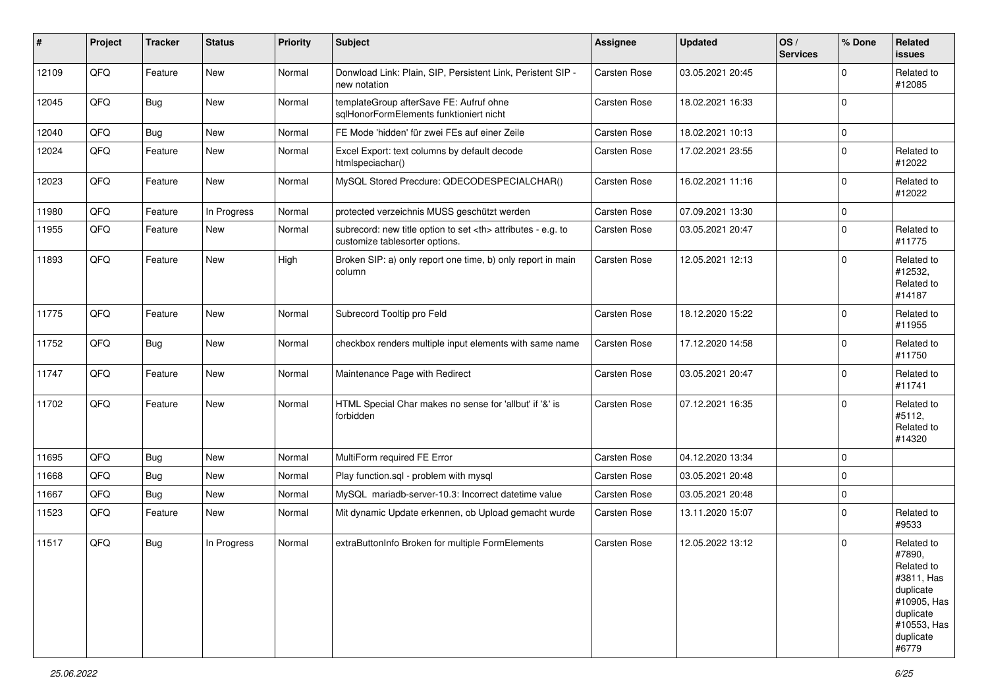| #     | Project | <b>Tracker</b> | <b>Status</b> | <b>Priority</b> | <b>Subject</b>                                                                                       | Assignee                                               | <b>Updated</b>      | OS/<br><b>Services</b> | % Done      | <b>Related</b><br><b>issues</b>                                                                                                |                      |
|-------|---------|----------------|---------------|-----------------|------------------------------------------------------------------------------------------------------|--------------------------------------------------------|---------------------|------------------------|-------------|--------------------------------------------------------------------------------------------------------------------------------|----------------------|
| 12109 | QFQ     | Feature        | New           | Normal          | Donwload Link: Plain, SIP, Persistent Link, Peristent SIP -<br>new notation                          | Carsten Rose                                           | 03.05.2021 20:45    |                        | $\mathbf 0$ | Related to<br>#12085                                                                                                           |                      |
| 12045 | QFQ     | Bug            | New           | Normal          | templateGroup afterSave FE: Aufruf ohne<br>sqlHonorFormElements funktioniert nicht                   | <b>Carsten Rose</b>                                    | 18.02.2021 16:33    |                        | $\Omega$    |                                                                                                                                |                      |
| 12040 | QFQ     | Bug            | <b>New</b>    | Normal          | FE Mode 'hidden' für zwei FEs auf einer Zeile                                                        | <b>Carsten Rose</b>                                    | 18.02.2021 10:13    |                        | 0           |                                                                                                                                |                      |
| 12024 | QFQ     | Feature        | New           | Normal          | Excel Export: text columns by default decode<br>htmlspeciachar()                                     | Carsten Rose                                           | 17.02.2021 23:55    |                        | $\mathbf 0$ | Related to<br>#12022                                                                                                           |                      |
| 12023 | QFQ     | Feature        | New           | Normal          | MySQL Stored Precdure: QDECODESPECIALCHAR()                                                          | <b>Carsten Rose</b>                                    | 16.02.2021 11:16    |                        | $\mathbf 0$ | Related to<br>#12022                                                                                                           |                      |
| 11980 | QFQ     | Feature        | In Progress   | Normal          | protected verzeichnis MUSS geschützt werden                                                          | Carsten Rose                                           | 07.09.2021 13:30    |                        | $\mathbf 0$ |                                                                                                                                |                      |
| 11955 | QFQ     | Feature        | New           | Normal          | subrecord: new title option to set <th> attributes - e.g. to<br/>customize tablesorter options.</th> | attributes - e.g. to<br>customize tablesorter options. | <b>Carsten Rose</b> | 03.05.2021 20:47       |             | $\Omega$                                                                                                                       | Related to<br>#11775 |
| 11893 | QFQ     | Feature        | New           | High            | Broken SIP: a) only report one time, b) only report in main<br>column                                | Carsten Rose                                           | 12.05.2021 12:13    |                        | $\mathbf 0$ | Related to<br>#12532,<br>Related to<br>#14187                                                                                  |                      |
| 11775 | QFQ     | Feature        | New           | Normal          | Subrecord Tooltip pro Feld                                                                           | <b>Carsten Rose</b>                                    | 18.12.2020 15:22    |                        | $\mathbf 0$ | Related to<br>#11955                                                                                                           |                      |
| 11752 | QFQ     | <b>Bug</b>     | New           | Normal          | checkbox renders multiple input elements with same name                                              | Carsten Rose                                           | 17.12.2020 14:58    |                        | $\mathbf 0$ | Related to<br>#11750                                                                                                           |                      |
| 11747 | QFQ     | Feature        | New           | Normal          | Maintenance Page with Redirect                                                                       | <b>Carsten Rose</b>                                    | 03.05.2021 20:47    |                        | $\mathbf 0$ | Related to<br>#11741                                                                                                           |                      |
| 11702 | QFQ     | Feature        | New           | Normal          | HTML Special Char makes no sense for 'allbut' if '&' is<br>forbidden                                 | <b>Carsten Rose</b>                                    | 07.12.2021 16:35    |                        | $\mathbf 0$ | Related to<br>#5112,<br>Related to<br>#14320                                                                                   |                      |
| 11695 | QFQ     | Bug            | New           | Normal          | MultiForm required FE Error                                                                          | <b>Carsten Rose</b>                                    | 04.12.2020 13:34    |                        | 0           |                                                                                                                                |                      |
| 11668 | QFQ     | Bug            | New           | Normal          | Play function.sql - problem with mysql                                                               | <b>Carsten Rose</b>                                    | 03.05.2021 20:48    |                        | $\mathbf 0$ |                                                                                                                                |                      |
| 11667 | QFQ     | Bug            | New           | Normal          | MySQL mariadb-server-10.3: Incorrect datetime value                                                  | <b>Carsten Rose</b>                                    | 03.05.2021 20:48    |                        | 0           |                                                                                                                                |                      |
| 11523 | QFQ     | Feature        | New           | Normal          | Mit dynamic Update erkennen, ob Upload gemacht wurde                                                 | Carsten Rose                                           | 13.11.2020 15:07    |                        | $\mathbf 0$ | Related to<br>#9533                                                                                                            |                      |
| 11517 | QFQ     | <b>Bug</b>     | In Progress   | Normal          | extraButtonInfo Broken for multiple FormElements                                                     | <b>Carsten Rose</b>                                    | 12.05.2022 13:12    |                        | $\Omega$    | Related to<br>#7890,<br>Related to<br>#3811, Has<br>duplicate<br>#10905, Has<br>duplicate<br>#10553, Has<br>duplicate<br>#6779 |                      |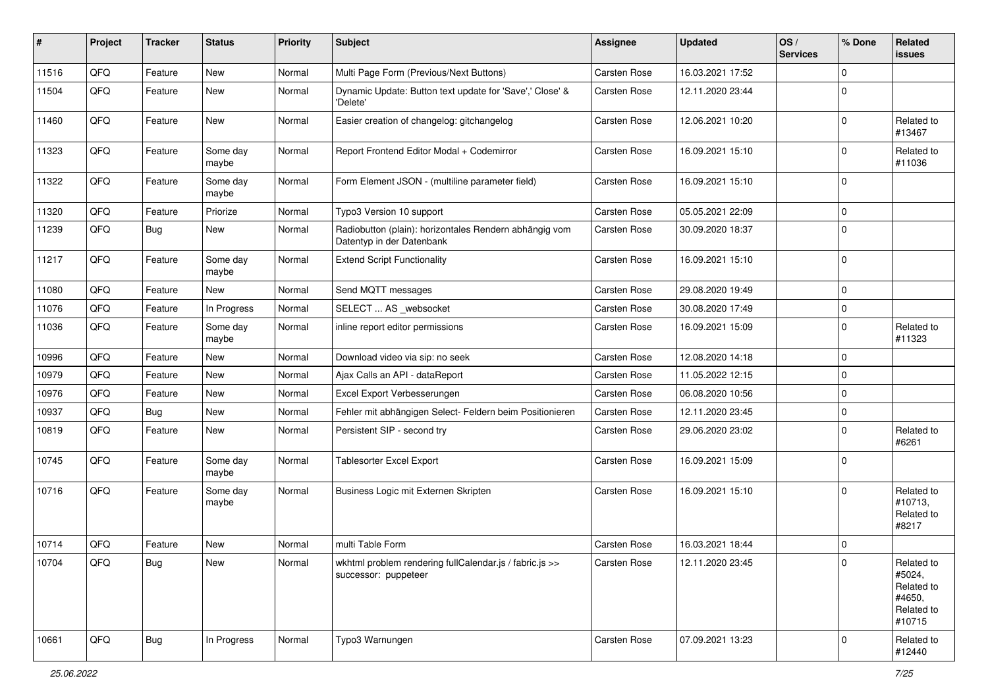| #     | Project    | <b>Tracker</b> | <b>Status</b>     | <b>Priority</b> | <b>Subject</b>                                                                      | <b>Assignee</b>     | <b>Updated</b>   | OS/<br><b>Services</b> | % Done              | <b>Related</b><br><b>issues</b>                                      |
|-------|------------|----------------|-------------------|-----------------|-------------------------------------------------------------------------------------|---------------------|------------------|------------------------|---------------------|----------------------------------------------------------------------|
| 11516 | QFQ        | Feature        | New               | Normal          | Multi Page Form (Previous/Next Buttons)                                             | Carsten Rose        | 16.03.2021 17:52 |                        | $\mathbf 0$         |                                                                      |
| 11504 | QFQ        | Feature        | New               | Normal          | Dynamic Update: Button text update for 'Save',' Close' &<br>'Delete'                | Carsten Rose        | 12.11.2020 23:44 |                        | $\mathbf 0$         |                                                                      |
| 11460 | QFQ        | Feature        | New               | Normal          | Easier creation of changelog: gitchangelog                                          | Carsten Rose        | 12.06.2021 10:20 |                        | $\pmb{0}$           | Related to<br>#13467                                                 |
| 11323 | QFQ        | Feature        | Some day<br>maybe | Normal          | Report Frontend Editor Modal + Codemirror                                           | Carsten Rose        | 16.09.2021 15:10 |                        | $\mathbf 0$         | Related to<br>#11036                                                 |
| 11322 | QFQ        | Feature        | Some day<br>maybe | Normal          | Form Element JSON - (multiline parameter field)                                     | Carsten Rose        | 16.09.2021 15:10 |                        | $\mathbf 0$         |                                                                      |
| 11320 | QFQ        | Feature        | Priorize          | Normal          | Typo3 Version 10 support                                                            | Carsten Rose        | 05.05.2021 22:09 |                        | $\mathbf 0$         |                                                                      |
| 11239 | QFQ        | Bug            | New               | Normal          | Radiobutton (plain): horizontales Rendern abhängig vom<br>Datentyp in der Datenbank | Carsten Rose        | 30.09.2020 18:37 |                        | $\mathbf 0$         |                                                                      |
| 11217 | QFQ        | Feature        | Some day<br>maybe | Normal          | <b>Extend Script Functionality</b>                                                  | <b>Carsten Rose</b> | 16.09.2021 15:10 |                        | $\mathbf 0$         |                                                                      |
| 11080 | QFQ        | Feature        | <b>New</b>        | Normal          | Send MQTT messages                                                                  | Carsten Rose        | 29.08.2020 19:49 |                        | $\mathsf 0$         |                                                                      |
| 11076 | QFQ        | Feature        | In Progress       | Normal          | SELECT  AS _websocket                                                               | Carsten Rose        | 30.08.2020 17:49 |                        | $\mathbf 0$         |                                                                      |
| 11036 | QFQ        | Feature        | Some day<br>maybe | Normal          | inline report editor permissions                                                    | Carsten Rose        | 16.09.2021 15:09 |                        | $\mathbf 0$         | Related to<br>#11323                                                 |
| 10996 | QFQ        | Feature        | New               | Normal          | Download video via sip: no seek                                                     | Carsten Rose        | 12.08.2020 14:18 |                        | $\mathbf 0$         |                                                                      |
| 10979 | QFQ        | Feature        | <b>New</b>        | Normal          | Ajax Calls an API - dataReport                                                      | Carsten Rose        | 11.05.2022 12:15 |                        | $\mathbf 0$         |                                                                      |
| 10976 | QFQ        | Feature        | New               | Normal          | Excel Export Verbesserungen                                                         | Carsten Rose        | 06.08.2020 10:56 |                        | $\mathsf 0$         |                                                                      |
| 10937 | QFQ        | Bug            | New               | Normal          | Fehler mit abhängigen Select- Feldern beim Positionieren                            | Carsten Rose        | 12.11.2020 23:45 |                        | $\mathbf 0$         |                                                                      |
| 10819 | QFQ        | Feature        | <b>New</b>        | Normal          | Persistent SIP - second try                                                         | Carsten Rose        | 29.06.2020 23:02 |                        | $\mathbf 0$         | Related to<br>#6261                                                  |
| 10745 | QFQ        | Feature        | Some day<br>maybe | Normal          | <b>Tablesorter Excel Export</b>                                                     | Carsten Rose        | 16.09.2021 15:09 |                        | $\mathbf 0$         |                                                                      |
| 10716 | QFQ        | Feature        | Some day<br>maybe | Normal          | Business Logic mit Externen Skripten                                                | Carsten Rose        | 16.09.2021 15:10 |                        | $\mathbf 0$         | Related to<br>#10713,<br>Related to<br>#8217                         |
| 10714 | QFQ        | Feature        | New               | Normal          | multi Table Form                                                                    | Carsten Rose        | 16.03.2021 18:44 |                        | $\mathbf 0$         |                                                                      |
| 10704 | <b>QFQ</b> | <b>Bug</b>     | New               | Normal          | wkhtml problem rendering fullCalendar.js / fabric.js >><br>successor: puppeteer     | Carsten Rose        | 12.11.2020 23:45 |                        | l 0                 | Related to<br>#5024,<br>Related to<br>#4650,<br>Related to<br>#10715 |
| 10661 | QFQ        | Bug            | In Progress       | Normal          | Typo3 Warnungen                                                                     | Carsten Rose        | 07.09.2021 13:23 |                        | $\mathsf{O}\xspace$ | Related to<br>#12440                                                 |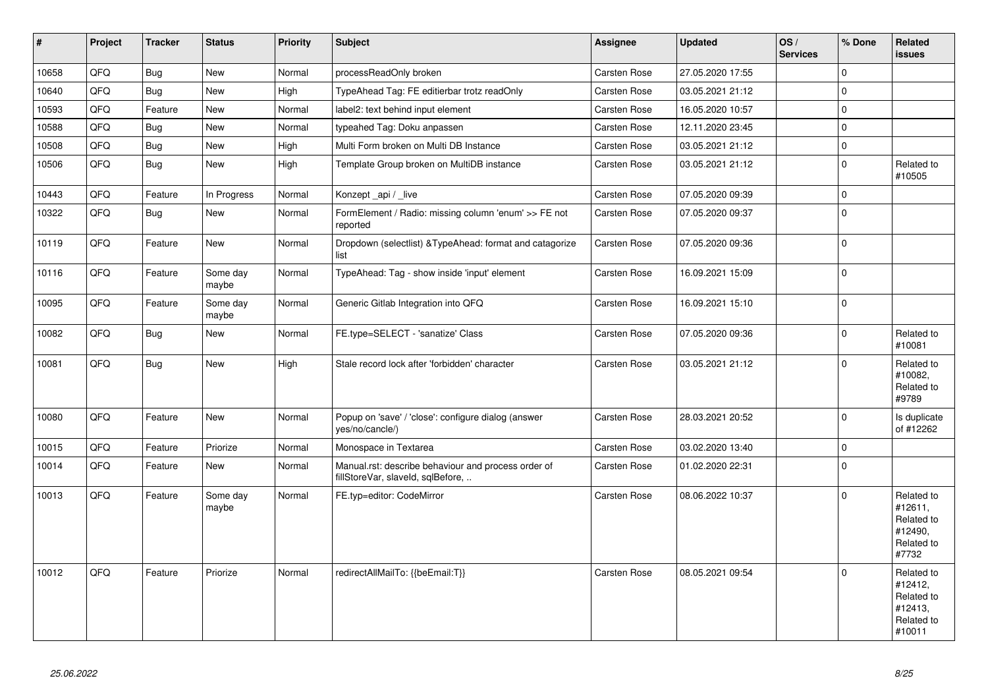| #     | Project | <b>Tracker</b> | <b>Status</b>     | Priority | <b>Subject</b>                                                                           | <b>Assignee</b>     | <b>Updated</b>   | OS/<br><b>Services</b> | % Done       | Related<br><b>issues</b>                                               |
|-------|---------|----------------|-------------------|----------|------------------------------------------------------------------------------------------|---------------------|------------------|------------------------|--------------|------------------------------------------------------------------------|
| 10658 | QFQ     | <b>Bug</b>     | New               | Normal   | processReadOnly broken                                                                   | Carsten Rose        | 27.05.2020 17:55 |                        | $\mathsf 0$  |                                                                        |
| 10640 | QFQ     | <b>Bug</b>     | New               | High     | TypeAhead Tag: FE editierbar trotz readOnly                                              | Carsten Rose        | 03.05.2021 21:12 |                        | $\mathbf 0$  |                                                                        |
| 10593 | QFQ     | Feature        | New               | Normal   | label2: text behind input element                                                        | Carsten Rose        | 16.05.2020 10:57 |                        | $\mathbf 0$  |                                                                        |
| 10588 | QFQ     | <b>Bug</b>     | <b>New</b>        | Normal   | typeahed Tag: Doku anpassen                                                              | Carsten Rose        | 12.11.2020 23:45 |                        | $\mathbf 0$  |                                                                        |
| 10508 | QFQ     | <b>Bug</b>     | <b>New</b>        | High     | Multi Form broken on Multi DB Instance                                                   | Carsten Rose        | 03.05.2021 21:12 |                        | $\mathbf 0$  |                                                                        |
| 10506 | QFQ     | <b>Bug</b>     | <b>New</b>        | High     | Template Group broken on MultiDB instance                                                | Carsten Rose        | 03.05.2021 21:12 |                        | $\mathbf 0$  | Related to<br>#10505                                                   |
| 10443 | QFQ     | Feature        | In Progress       | Normal   | Konzept _api / _live                                                                     | Carsten Rose        | 07.05.2020 09:39 |                        | $\mathbf{0}$ |                                                                        |
| 10322 | QFQ     | <b>Bug</b>     | New               | Normal   | FormElement / Radio: missing column 'enum' >> FE not<br>reported                         | Carsten Rose        | 07.05.2020 09:37 |                        | $\mathbf 0$  |                                                                        |
| 10119 | QFQ     | Feature        | New               | Normal   | Dropdown (selectlist) & TypeAhead: format and catagorize<br>list                         | Carsten Rose        | 07.05.2020 09:36 |                        | $\mathbf 0$  |                                                                        |
| 10116 | QFQ     | Feature        | Some day<br>maybe | Normal   | TypeAhead: Tag - show inside 'input' element                                             | <b>Carsten Rose</b> | 16.09.2021 15:09 |                        | $\mathbf 0$  |                                                                        |
| 10095 | QFQ     | Feature        | Some day<br>maybe | Normal   | Generic Gitlab Integration into QFQ                                                      | Carsten Rose        | 16.09.2021 15:10 |                        | $\pmb{0}$    |                                                                        |
| 10082 | QFQ     | Bug            | New               | Normal   | FE.type=SELECT - 'sanatize' Class                                                        | Carsten Rose        | 07.05.2020 09:36 |                        | $\mathbf 0$  | Related to<br>#10081                                                   |
| 10081 | QFQ     | Bug            | New               | High     | Stale record lock after 'forbidden' character                                            | Carsten Rose        | 03.05.2021 21:12 |                        | $\mathbf 0$  | Related to<br>#10082,<br>Related to<br>#9789                           |
| 10080 | QFQ     | Feature        | New               | Normal   | Popup on 'save' / 'close': configure dialog (answer<br>yes/no/cancle/)                   | Carsten Rose        | 28.03.2021 20:52 |                        | $\Omega$     | Is duplicate<br>of #12262                                              |
| 10015 | QFQ     | Feature        | Priorize          | Normal   | Monospace in Textarea                                                                    | Carsten Rose        | 03.02.2020 13:40 |                        | $\mathbf 0$  |                                                                        |
| 10014 | QFQ     | Feature        | New               | Normal   | Manual.rst: describe behaviour and process order of<br>fillStoreVar, slaveId, sqlBefore, | Carsten Rose        | 01.02.2020 22:31 |                        | $\mathbf 0$  |                                                                        |
| 10013 | QFQ     | Feature        | Some day<br>maybe | Normal   | FE.typ=editor: CodeMirror                                                                | Carsten Rose        | 08.06.2022 10:37 |                        | $\mathbf 0$  | Related to<br>#12611,<br>Related to<br>#12490,<br>Related to<br>#7732  |
| 10012 | QFQ     | Feature        | Priorize          | Normal   | redirectAllMailTo: {{beEmail:T}}                                                         | Carsten Rose        | 08.05.2021 09:54 |                        | $\mathbf 0$  | Related to<br>#12412,<br>Related to<br>#12413,<br>Related to<br>#10011 |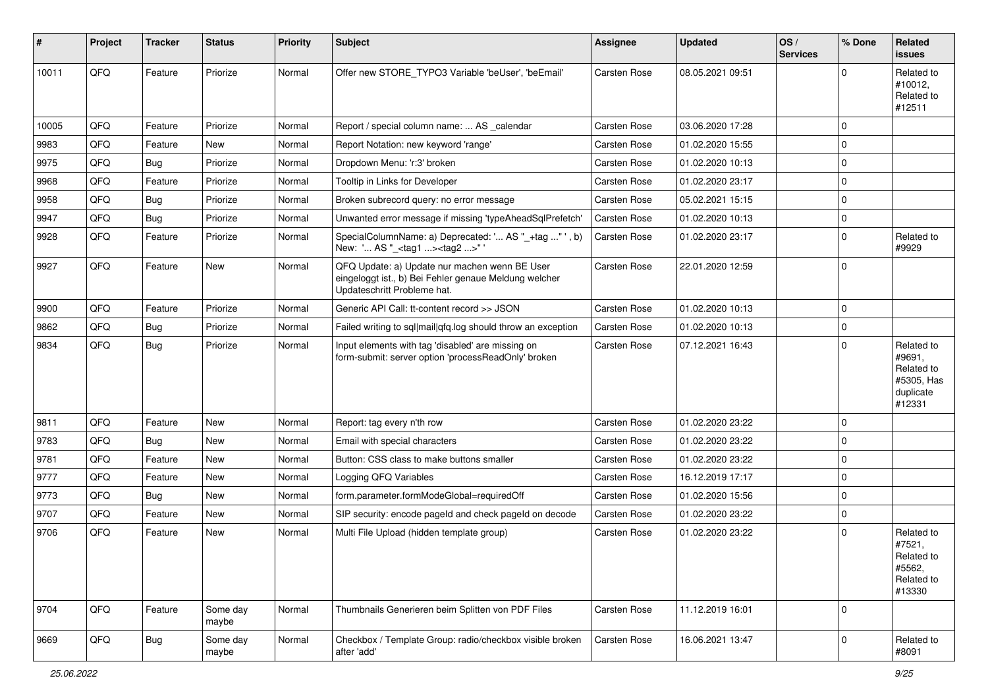| ∦     | Project | <b>Tracker</b> | <b>Status</b>     | <b>Priority</b> | <b>Subject</b>                                                                                                                        | <b>Assignee</b>     | <b>Updated</b>   | OS/<br><b>Services</b> | % Done      | <b>Related</b><br><b>issues</b>                                         |
|-------|---------|----------------|-------------------|-----------------|---------------------------------------------------------------------------------------------------------------------------------------|---------------------|------------------|------------------------|-------------|-------------------------------------------------------------------------|
| 10011 | QFQ     | Feature        | Priorize          | Normal          | Offer new STORE_TYPO3 Variable 'beUser', 'beEmail'                                                                                    | <b>Carsten Rose</b> | 08.05.2021 09:51 |                        | $\Omega$    | Related to<br>#10012,<br>Related to<br>#12511                           |
| 10005 | QFQ     | Feature        | Priorize          | Normal          | Report / special column name:  AS calendar                                                                                            | <b>Carsten Rose</b> | 03.06.2020 17:28 |                        | $\mathbf 0$ |                                                                         |
| 9983  | QFQ     | Feature        | New               | Normal          | Report Notation: new keyword 'range'                                                                                                  | Carsten Rose        | 01.02.2020 15:55 |                        | $\mathbf 0$ |                                                                         |
| 9975  | QFQ     | Bug            | Priorize          | Normal          | Dropdown Menu: 'r:3' broken                                                                                                           | Carsten Rose        | 01.02.2020 10:13 |                        | $\mathbf 0$ |                                                                         |
| 9968  | QFQ     | Feature        | Priorize          | Normal          | Tooltip in Links for Developer                                                                                                        | Carsten Rose        | 01.02.2020 23:17 |                        | $\mathbf 0$ |                                                                         |
| 9958  | QFQ     | Bug            | Priorize          | Normal          | Broken subrecord query: no error message                                                                                              | Carsten Rose        | 05.02.2021 15:15 |                        | $\mathbf 0$ |                                                                         |
| 9947  | QFQ     | Bug            | Priorize          | Normal          | Unwanted error message if missing 'typeAheadSqlPrefetch'                                                                              | <b>Carsten Rose</b> | 01.02.2020 10:13 |                        | $\mathbf 0$ |                                                                         |
| 9928  | QFQ     | Feature        | Priorize          | Normal          | SpecialColumnName: a) Deprecated: ' AS "_+tag " ', b)<br>New: ' AS "_ <tag1><tag2>"'</tag2></tag1>                                    | Carsten Rose        | 01.02.2020 23:17 |                        | $\mathbf 0$ | Related to<br>#9929                                                     |
| 9927  | QFQ     | Feature        | <b>New</b>        | Normal          | QFQ Update: a) Update nur machen wenn BE User<br>eingeloggt ist., b) Bei Fehler genaue Meldung welcher<br>Updateschritt Probleme hat. | <b>Carsten Rose</b> | 22.01.2020 12:59 |                        | $\mathbf 0$ |                                                                         |
| 9900  | QFQ     | Feature        | Priorize          | Normal          | Generic API Call: tt-content record >> JSON                                                                                           | Carsten Rose        | 01.02.2020 10:13 |                        | $\mathbf 0$ |                                                                         |
| 9862  | QFQ     | Bug            | Priorize          | Normal          | Failed writing to sql mail qfq.log should throw an exception                                                                          | Carsten Rose        | 01.02.2020 10:13 |                        | $\mathbf 0$ |                                                                         |
| 9834  | QFQ     | Bug            | Priorize          | Normal          | Input elements with tag 'disabled' are missing on<br>form-submit: server option 'processReadOnly' broken                              | Carsten Rose        | 07.12.2021 16:43 |                        | $\mathbf 0$ | Related to<br>#9691,<br>Related to<br>#5305, Has<br>duplicate<br>#12331 |
| 9811  | QFQ     | Feature        | <b>New</b>        | Normal          | Report: tag every n'th row                                                                                                            | <b>Carsten Rose</b> | 01.02.2020 23:22 |                        | $\mathbf 0$ |                                                                         |
| 9783  | QFQ     | Bug            | <b>New</b>        | Normal          | Email with special characters                                                                                                         | Carsten Rose        | 01.02.2020 23:22 |                        | $\mathbf 0$ |                                                                         |
| 9781  | QFQ     | Feature        | <b>New</b>        | Normal          | Button: CSS class to make buttons smaller                                                                                             | Carsten Rose        | 01.02.2020 23:22 |                        | $\mathbf 0$ |                                                                         |
| 9777  | QFQ     | Feature        | New               | Normal          | Logging QFQ Variables                                                                                                                 | Carsten Rose        | 16.12.2019 17:17 |                        | $\mathbf 0$ |                                                                         |
| 9773  | QFQ     | Bug            | <b>New</b>        | Normal          | form.parameter.formModeGlobal=requiredOff                                                                                             | Carsten Rose        | 01.02.2020 15:56 |                        | $\pmb{0}$   |                                                                         |
| 9707  | QFQ     | Feature        | New               | Normal          | SIP security: encode pageld and check pageld on decode                                                                                | Carsten Rose        | 01.02.2020 23:22 |                        | $\mathbf 0$ |                                                                         |
| 9706  | QFQ     | Feature        | New               | Normal          | Multi File Upload (hidden template group)                                                                                             | Carsten Rose        | 01.02.2020 23:22 |                        | $\mathbf 0$ | Related to<br>#7521,<br>Related to<br>#5562,<br>Related to<br>#13330    |
| 9704  | QFO     | Feature        | Some day<br>maybe | Normal          | Thumbnails Generieren beim Splitten von PDF Files                                                                                     | Carsten Rose        | 11.12.2019 16:01 |                        | $\mathbf 0$ |                                                                         |
| 9669  | QFQ     | <b>Bug</b>     | Some day<br>maybe | Normal          | Checkbox / Template Group: radio/checkbox visible broken<br>after 'add'                                                               | Carsten Rose        | 16.06.2021 13:47 |                        | $\mathbf 0$ | Related to<br>#8091                                                     |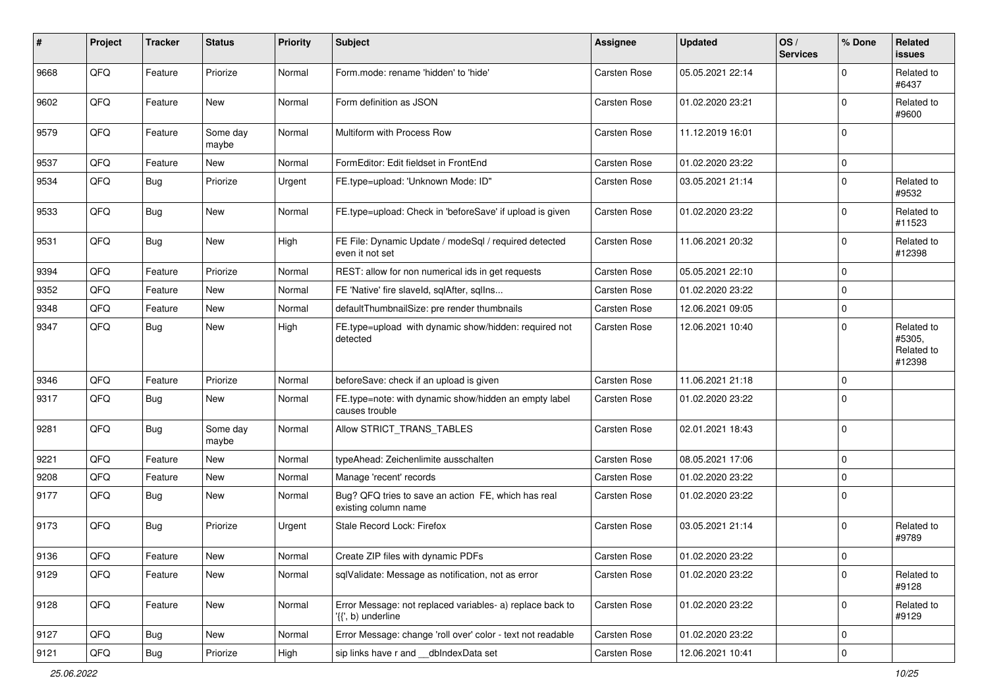| #    | Project | <b>Tracker</b> | <b>Status</b>     | <b>Priority</b> | <b>Subject</b>                                                                  | <b>Assignee</b>     | <b>Updated</b>   | OS/<br><b>Services</b> | % Done      | <b>Related</b><br><b>issues</b>              |
|------|---------|----------------|-------------------|-----------------|---------------------------------------------------------------------------------|---------------------|------------------|------------------------|-------------|----------------------------------------------|
| 9668 | QFQ     | Feature        | Priorize          | Normal          | Form.mode: rename 'hidden' to 'hide'                                            | Carsten Rose        | 05.05.2021 22:14 |                        | $\Omega$    | Related to<br>#6437                          |
| 9602 | QFQ     | Feature        | New               | Normal          | Form definition as JSON                                                         | <b>Carsten Rose</b> | 01.02.2020 23:21 |                        | $\mathbf 0$ | Related to<br>#9600                          |
| 9579 | QFQ     | Feature        | Some day<br>maybe | Normal          | Multiform with Process Row                                                      | Carsten Rose        | 11.12.2019 16:01 |                        | $\mathbf 0$ |                                              |
| 9537 | QFQ     | Feature        | New               | Normal          | FormEditor: Edit fieldset in FrontEnd                                           | Carsten Rose        | 01.02.2020 23:22 |                        | $\mathbf 0$ |                                              |
| 9534 | QFQ     | Bug            | Priorize          | Urgent          | FE.type=upload: 'Unknown Mode: ID"                                              | Carsten Rose        | 03.05.2021 21:14 |                        | $\mathbf 0$ | Related to<br>#9532                          |
| 9533 | QFQ     | Bug            | New               | Normal          | FE.type=upload: Check in 'beforeSave' if upload is given                        | Carsten Rose        | 01.02.2020 23:22 |                        | $\mathbf 0$ | Related to<br>#11523                         |
| 9531 | QFQ     | Bug            | New               | High            | FE File: Dynamic Update / modeSql / required detected<br>even it not set        | Carsten Rose        | 11.06.2021 20:32 |                        | $\mathbf 0$ | Related to<br>#12398                         |
| 9394 | QFQ     | Feature        | Priorize          | Normal          | REST: allow for non numerical ids in get requests                               | Carsten Rose        | 05.05.2021 22:10 |                        | $\mathbf 0$ |                                              |
| 9352 | QFQ     | Feature        | New               | Normal          | FE 'Native' fire slaveld, sqlAfter, sqlIns                                      | Carsten Rose        | 01.02.2020 23:22 |                        | $\mathbf 0$ |                                              |
| 9348 | QFQ     | Feature        | New               | Normal          | defaultThumbnailSize: pre render thumbnails                                     | Carsten Rose        | 12.06.2021 09:05 |                        | $\mathbf 0$ |                                              |
| 9347 | QFQ     | Bug            | New               | High            | FE.type=upload with dynamic show/hidden: required not<br>detected               | Carsten Rose        | 12.06.2021 10:40 |                        | $\mathbf 0$ | Related to<br>#5305,<br>Related to<br>#12398 |
| 9346 | QFQ     | Feature        | Priorize          | Normal          | beforeSave: check if an upload is given                                         | <b>Carsten Rose</b> | 11.06.2021 21:18 |                        | $\mathbf 0$ |                                              |
| 9317 | QFQ     | Bug            | New               | Normal          | FE.type=note: with dynamic show/hidden an empty label<br>causes trouble         | Carsten Rose        | 01.02.2020 23:22 |                        | $\mathbf 0$ |                                              |
| 9281 | QFQ     | <b>Bug</b>     | Some day<br>maybe | Normal          | Allow STRICT TRANS TABLES                                                       | Carsten Rose        | 02.01.2021 18:43 |                        | $\mathbf 0$ |                                              |
| 9221 | QFQ     | Feature        | New               | Normal          | typeAhead: Zeichenlimite ausschalten                                            | Carsten Rose        | 08.05.2021 17:06 |                        | $\mathbf 0$ |                                              |
| 9208 | QFQ     | Feature        | New               | Normal          | Manage 'recent' records                                                         | Carsten Rose        | 01.02.2020 23:22 |                        | 0           |                                              |
| 9177 | QFQ     | Bug            | New               | Normal          | Bug? QFQ tries to save an action FE, which has real<br>existing column name     | Carsten Rose        | 01.02.2020 23:22 |                        | $\mathbf 0$ |                                              |
| 9173 | QFQ     | Bug            | Priorize          | Urgent          | Stale Record Lock: Firefox                                                      | Carsten Rose        | 03.05.2021 21:14 |                        | $\mathbf 0$ | Related to<br>#9789                          |
| 9136 | QFQ     | Feature        | New               | Normal          | Create ZIP files with dynamic PDFs                                              | Carsten Rose        | 01.02.2020 23:22 |                        | $\mathbf 0$ |                                              |
| 9129 | QFQ     | Feature        | New               | Normal          | sqlValidate: Message as notification, not as error                              | <b>Carsten Rose</b> | 01.02.2020 23:22 |                        | $\mathbf 0$ | Related to<br>#9128                          |
| 9128 | QFQ     | Feature        | New               | Normal          | Error Message: not replaced variables- a) replace back to<br>'{{', b) underline | Carsten Rose        | 01.02.2020 23:22 |                        | 0           | Related to<br>#9129                          |
| 9127 | QFQ     | Bug            | New               | Normal          | Error Message: change 'roll over' color - text not readable                     | Carsten Rose        | 01.02.2020 23:22 |                        | 0           |                                              |
| 9121 | QFQ     | Bug            | Priorize          | High            | sip links have r and __dbIndexData set                                          | Carsten Rose        | 12.06.2021 10:41 |                        | $\pmb{0}$   |                                              |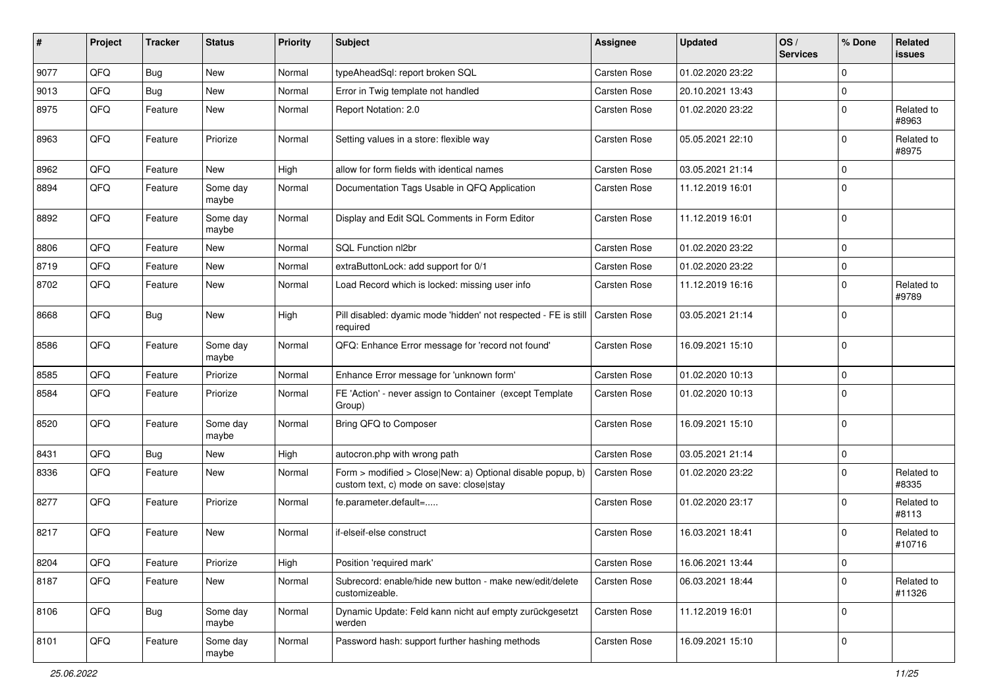| $\sharp$ | Project | <b>Tracker</b> | <b>Status</b>     | <b>Priority</b> | <b>Subject</b>                                                                                         | <b>Assignee</b>     | <b>Updated</b>   | OS/<br><b>Services</b> | % Done      | <b>Related</b><br><b>issues</b> |
|----------|---------|----------------|-------------------|-----------------|--------------------------------------------------------------------------------------------------------|---------------------|------------------|------------------------|-------------|---------------------------------|
| 9077     | QFQ     | Bug            | New               | Normal          | typeAheadSql: report broken SQL                                                                        | Carsten Rose        | 01.02.2020 23:22 |                        | $\mathbf 0$ |                                 |
| 9013     | QFQ     | Bug            | New               | Normal          | Error in Twig template not handled                                                                     | Carsten Rose        | 20.10.2021 13:43 |                        | $\mathbf 0$ |                                 |
| 8975     | QFQ     | Feature        | New               | Normal          | Report Notation: 2.0                                                                                   | Carsten Rose        | 01.02.2020 23:22 |                        | $\mathbf 0$ | Related to<br>#8963             |
| 8963     | QFQ     | Feature        | Priorize          | Normal          | Setting values in a store: flexible way                                                                | Carsten Rose        | 05.05.2021 22:10 |                        | $\mathbf 0$ | Related to<br>#8975             |
| 8962     | QFQ     | Feature        | <b>New</b>        | High            | allow for form fields with identical names                                                             | Carsten Rose        | 03.05.2021 21:14 |                        | $\mathbf 0$ |                                 |
| 8894     | QFQ     | Feature        | Some day<br>maybe | Normal          | Documentation Tags Usable in QFQ Application                                                           | Carsten Rose        | 11.12.2019 16:01 |                        | $\mathbf 0$ |                                 |
| 8892     | QFQ     | Feature        | Some day<br>maybe | Normal          | Display and Edit SQL Comments in Form Editor                                                           | <b>Carsten Rose</b> | 11.12.2019 16:01 |                        | $\mathbf 0$ |                                 |
| 8806     | QFQ     | Feature        | New               | Normal          | SQL Function nl2br                                                                                     | Carsten Rose        | 01.02.2020 23:22 |                        | $\mathbf 0$ |                                 |
| 8719     | QFQ     | Feature        | New               | Normal          | extraButtonLock: add support for 0/1                                                                   | Carsten Rose        | 01.02.2020 23:22 |                        | $\mathbf 0$ |                                 |
| 8702     | QFQ     | Feature        | New               | Normal          | Load Record which is locked: missing user info                                                         | <b>Carsten Rose</b> | 11.12.2019 16:16 |                        | $\mathbf 0$ | Related to<br>#9789             |
| 8668     | QFQ     | Bug            | New               | High            | Pill disabled: dyamic mode 'hidden' not respected - FE is still<br>required                            | Carsten Rose        | 03.05.2021 21:14 |                        | $\mathbf 0$ |                                 |
| 8586     | QFQ     | Feature        | Some day<br>maybe | Normal          | QFQ: Enhance Error message for 'record not found'                                                      | Carsten Rose        | 16.09.2021 15:10 |                        | $\mathbf 0$ |                                 |
| 8585     | QFQ     | Feature        | Priorize          | Normal          | Enhance Error message for 'unknown form'                                                               | Carsten Rose        | 01.02.2020 10:13 |                        | $\mathbf 0$ |                                 |
| 8584     | QFQ     | Feature        | Priorize          | Normal          | FE 'Action' - never assign to Container (except Template<br>Group)                                     | Carsten Rose        | 01.02.2020 10:13 |                        | $\mathbf 0$ |                                 |
| 8520     | QFQ     | Feature        | Some day<br>maybe | Normal          | Bring QFQ to Composer                                                                                  | Carsten Rose        | 16.09.2021 15:10 |                        | $\mathbf 0$ |                                 |
| 8431     | QFQ     | <b>Bug</b>     | New               | High            | autocron.php with wrong path                                                                           | <b>Carsten Rose</b> | 03.05.2021 21:14 |                        | $\mathbf 0$ |                                 |
| 8336     | QFQ     | Feature        | New               | Normal          | Form > modified > Close New: a) Optional disable popup, b)<br>custom text, c) mode on save: close stay | Carsten Rose        | 01.02.2020 23:22 |                        | $\mathbf 0$ | Related to<br>#8335             |
| 8277     | QFQ     | Feature        | Priorize          | Normal          | fe.parameter.default=                                                                                  | Carsten Rose        | 01.02.2020 23:17 |                        | $\mathbf 0$ | Related to<br>#8113             |
| 8217     | QFQ     | Feature        | New               | Normal          | if-elseif-else construct                                                                               | Carsten Rose        | 16.03.2021 18:41 |                        | $\mathbf 0$ | Related to<br>#10716            |
| 8204     | QFQ     | Feature        | Priorize          | High            | Position 'required mark'                                                                               | Carsten Rose        | 16.06.2021 13:44 |                        | 0           |                                 |
| 8187     | QFQ     | Feature        | New               | Normal          | Subrecord: enable/hide new button - make new/edit/delete<br>customizeable.                             | Carsten Rose        | 06.03.2021 18:44 |                        | $\mathbf 0$ | Related to<br>#11326            |
| 8106     | QFQ     | Bug            | Some day<br>maybe | Normal          | Dynamic Update: Feld kann nicht auf empty zurückgesetzt<br>werden                                      | Carsten Rose        | 11.12.2019 16:01 |                        | $\mathbf 0$ |                                 |
| 8101     | QFQ     | Feature        | Some day<br>maybe | Normal          | Password hash: support further hashing methods                                                         | Carsten Rose        | 16.09.2021 15:10 |                        | $\mathsf 0$ |                                 |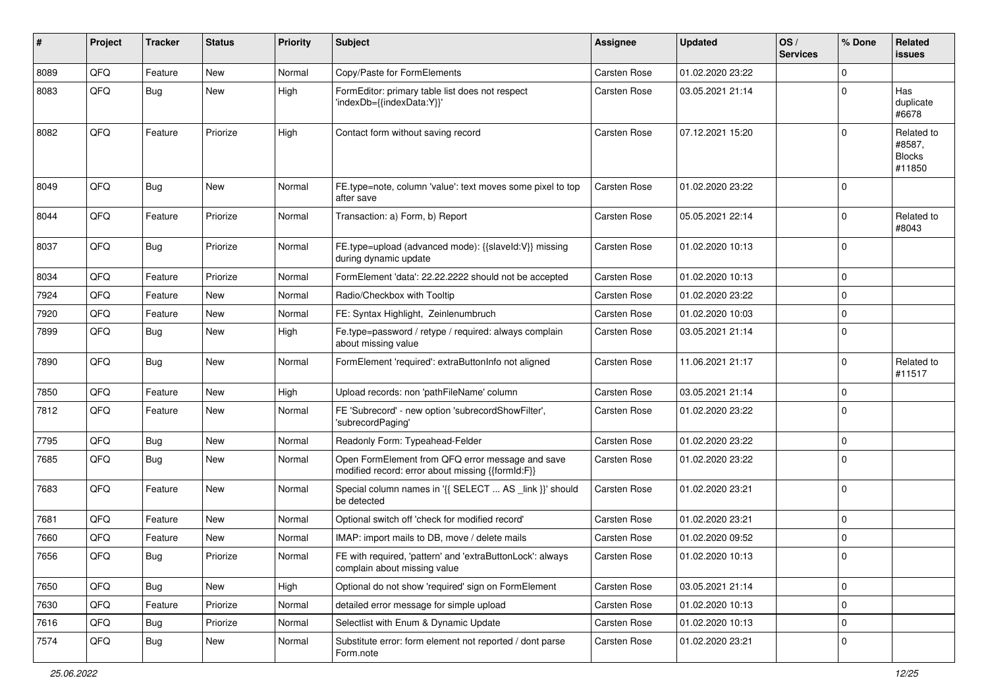| #    | Project | <b>Tracker</b> | <b>Status</b> | <b>Priority</b> | Subject                                                                                               | <b>Assignee</b> | <b>Updated</b>   | OS/<br><b>Services</b> | % Done      | Related<br><b>issues</b>                        |
|------|---------|----------------|---------------|-----------------|-------------------------------------------------------------------------------------------------------|-----------------|------------------|------------------------|-------------|-------------------------------------------------|
| 8089 | QFQ     | Feature        | New           | Normal          | Copy/Paste for FormElements                                                                           | Carsten Rose    | 01.02.2020 23:22 |                        | $\Omega$    |                                                 |
| 8083 | QFQ     | Bug            | <b>New</b>    | High            | FormEditor: primary table list does not respect<br>'indexDb={{indexData:Y}}'                          | Carsten Rose    | 03.05.2021 21:14 |                        | 0           | Has<br>duplicate<br>#6678                       |
| 8082 | QFQ     | Feature        | Priorize      | High            | Contact form without saving record                                                                    | Carsten Rose    | 07.12.2021 15:20 |                        | 0           | Related to<br>#8587,<br><b>Blocks</b><br>#11850 |
| 8049 | QFQ     | <b>Bug</b>     | <b>New</b>    | Normal          | FE.type=note, column 'value': text moves some pixel to top<br>after save                              | Carsten Rose    | 01.02.2020 23:22 |                        | $\Omega$    |                                                 |
| 8044 | QFQ     | Feature        | Priorize      | Normal          | Transaction: a) Form, b) Report                                                                       | Carsten Rose    | 05.05.2021 22:14 |                        | $\Omega$    | Related to<br>#8043                             |
| 8037 | QFQ     | Bug            | Priorize      | Normal          | FE.type=upload (advanced mode): {{slaveld:V}} missing<br>during dynamic update                        | Carsten Rose    | 01.02.2020 10:13 |                        | $\Omega$    |                                                 |
| 8034 | QFQ     | Feature        | Priorize      | Normal          | FormElement 'data': 22.22.2222 should not be accepted                                                 | Carsten Rose    | 01.02.2020 10:13 |                        | $\mathbf 0$ |                                                 |
| 7924 | QFQ     | Feature        | New           | Normal          | Radio/Checkbox with Tooltip                                                                           | Carsten Rose    | 01.02.2020 23:22 |                        | $\Omega$    |                                                 |
| 7920 | QFQ     | Feature        | New           | Normal          | FE: Syntax Highlight, Zeinlenumbruch                                                                  | Carsten Rose    | 01.02.2020 10:03 |                        | $\Omega$    |                                                 |
| 7899 | QFQ     | Bug            | <b>New</b>    | High            | Fe.type=password / retype / required: always complain<br>about missing value                          | Carsten Rose    | 03.05.2021 21:14 |                        | $\Omega$    |                                                 |
| 7890 | QFQ     | Bug            | New           | Normal          | FormElement 'required': extraButtonInfo not aligned                                                   | Carsten Rose    | 11.06.2021 21:17 |                        | $\Omega$    | Related to<br>#11517                            |
| 7850 | QFQ     | Feature        | <b>New</b>    | High            | Upload records: non 'pathFileName' column                                                             | Carsten Rose    | 03.05.2021 21:14 |                        | $\Omega$    |                                                 |
| 7812 | QFQ     | Feature        | <b>New</b>    | Normal          | FE 'Subrecord' - new option 'subrecordShowFilter',<br>'subrecordPaging'                               | Carsten Rose    | 01.02.2020 23:22 |                        | $\mathbf 0$ |                                                 |
| 7795 | QFQ     | Bug            | <b>New</b>    | Normal          | Readonly Form: Typeahead-Felder                                                                       | Carsten Rose    | 01.02.2020 23:22 |                        | $\mathbf 0$ |                                                 |
| 7685 | QFQ     | Bug            | New           | Normal          | Open FormElement from QFQ error message and save<br>modified record: error about missing {{formId:F}} | Carsten Rose    | 01.02.2020 23:22 |                        | $\Omega$    |                                                 |
| 7683 | QFQ     | Feature        | <b>New</b>    | Normal          | Special column names in '{{ SELECT  AS _link }}' should<br>be detected                                | Carsten Rose    | 01.02.2020 23:21 |                        | $\Omega$    |                                                 |
| 7681 | QFQ     | Feature        | <b>New</b>    | Normal          | Optional switch off 'check for modified record'                                                       | Carsten Rose    | 01.02.2020 23:21 |                        | $\Omega$    |                                                 |
| 7660 | QFQ     | Feature        | New           | Normal          | IMAP: import mails to DB, move / delete mails                                                         | Carsten Rose    | 01.02.2020 09:52 |                        | $\Omega$    |                                                 |
| 7656 | QFQ     | Bug            | Priorize      | Normal          | FE with required, 'pattern' and 'extraButtonLock': always<br>complain about missing value             | Carsten Rose    | 01.02.2020 10:13 |                        | $\Omega$    |                                                 |
| 7650 | QFQ     | Bug            | New           | High            | Optional do not show 'required' sign on FormElement                                                   | Carsten Rose    | 03.05.2021 21:14 |                        | $\mathbf 0$ |                                                 |
| 7630 | QFQ     | Feature        | Priorize      | Normal          | detailed error message for simple upload                                                              | Carsten Rose    | 01.02.2020 10:13 |                        | $\mathbf 0$ |                                                 |
| 7616 | QFQ     | Bug            | Priorize      | Normal          | Selectlist with Enum & Dynamic Update                                                                 | Carsten Rose    | 01.02.2020 10:13 |                        | $\mathbf 0$ |                                                 |
| 7574 | QFQ     | <b>Bug</b>     | New           | Normal          | Substitute error: form element not reported / dont parse<br>Form.note                                 | Carsten Rose    | 01.02.2020 23:21 |                        | 0           |                                                 |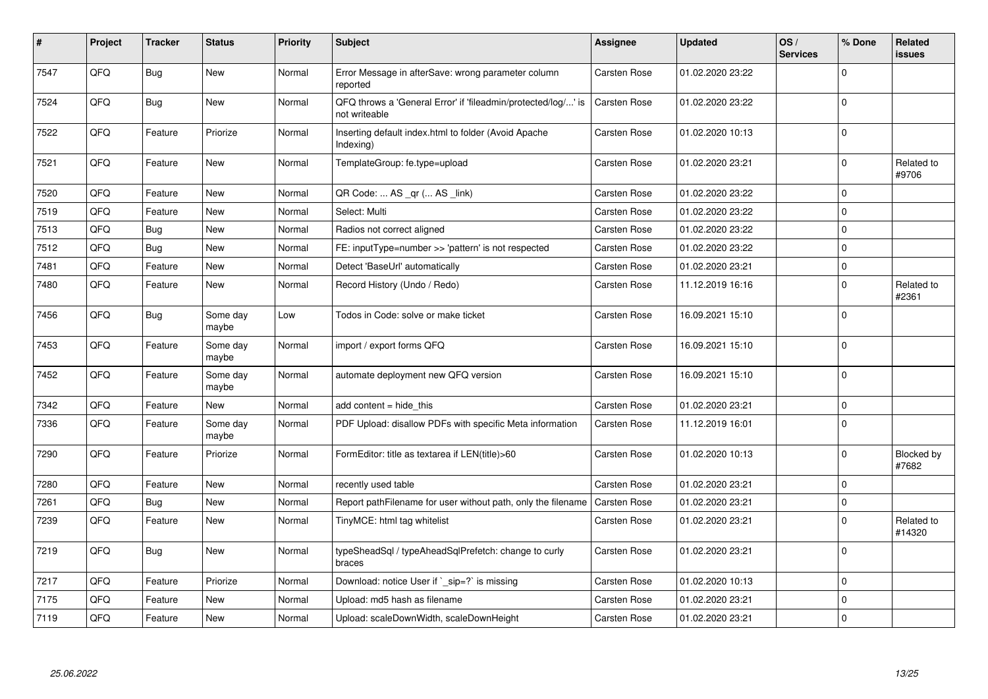| #    | Project | <b>Tracker</b> | <b>Status</b>     | <b>Priority</b> | <b>Subject</b>                                                                 | Assignee     | <b>Updated</b>   | OS/<br><b>Services</b> | % Done      | Related<br><b>issues</b> |
|------|---------|----------------|-------------------|-----------------|--------------------------------------------------------------------------------|--------------|------------------|------------------------|-------------|--------------------------|
| 7547 | QFQ     | Bug            | <b>New</b>        | Normal          | Error Message in afterSave: wrong parameter column<br>reported                 | Carsten Rose | 01.02.2020 23:22 |                        | $\Omega$    |                          |
| 7524 | QFQ     | Bug            | <b>New</b>        | Normal          | QFQ throws a 'General Error' if 'fileadmin/protected/log/' is<br>not writeable | Carsten Rose | 01.02.2020 23:22 |                        | $\Omega$    |                          |
| 7522 | QFQ     | Feature        | Priorize          | Normal          | Inserting default index.html to folder (Avoid Apache<br>Indexing)              | Carsten Rose | 01.02.2020 10:13 |                        | $\Omega$    |                          |
| 7521 | QFQ     | Feature        | <b>New</b>        | Normal          | TemplateGroup: fe.type=upload                                                  | Carsten Rose | 01.02.2020 23:21 |                        | $\Omega$    | Related to<br>#9706      |
| 7520 | QFQ     | Feature        | <b>New</b>        | Normal          | QR Code:  AS _qr ( AS _link)                                                   | Carsten Rose | 01.02.2020 23:22 |                        | $\Omega$    |                          |
| 7519 | QFQ     | Feature        | <b>New</b>        | Normal          | Select: Multi                                                                  | Carsten Rose | 01.02.2020 23:22 |                        | $\mathbf 0$ |                          |
| 7513 | QFQ     | Bug            | <b>New</b>        | Normal          | Radios not correct aligned                                                     | Carsten Rose | 01.02.2020 23:22 |                        | $\Omega$    |                          |
| 7512 | QFQ     | Bug            | <b>New</b>        | Normal          | FE: inputType=number >> 'pattern' is not respected                             | Carsten Rose | 01.02.2020 23:22 |                        | $\Omega$    |                          |
| 7481 | QFQ     | Feature        | <b>New</b>        | Normal          | Detect 'BaseUrl' automatically                                                 | Carsten Rose | 01.02.2020 23:21 |                        | $\Omega$    |                          |
| 7480 | QFQ     | Feature        | <b>New</b>        | Normal          | Record History (Undo / Redo)                                                   | Carsten Rose | 11.12.2019 16:16 |                        | $\Omega$    | Related to<br>#2361      |
| 7456 | QFQ     | Bug            | Some day<br>maybe | Low             | Todos in Code: solve or make ticket                                            | Carsten Rose | 16.09.2021 15:10 |                        | $\Omega$    |                          |
| 7453 | QFQ     | Feature        | Some day<br>maybe | Normal          | import / export forms QFQ                                                      | Carsten Rose | 16.09.2021 15:10 |                        | $\Omega$    |                          |
| 7452 | QFQ     | Feature        | Some day<br>maybe | Normal          | automate deployment new QFQ version                                            | Carsten Rose | 16.09.2021 15:10 |                        | $\Omega$    |                          |
| 7342 | QFQ     | Feature        | <b>New</b>        | Normal          | add content = hide_this                                                        | Carsten Rose | 01.02.2020 23:21 |                        | $\Omega$    |                          |
| 7336 | QFQ     | Feature        | Some day<br>maybe | Normal          | PDF Upload: disallow PDFs with specific Meta information                       | Carsten Rose | 11.12.2019 16:01 |                        | $\Omega$    |                          |
| 7290 | QFQ     | Feature        | Priorize          | Normal          | FormEditor: title as textarea if LEN(title)>60                                 | Carsten Rose | 01.02.2020 10:13 |                        | $\Omega$    | Blocked by<br>#7682      |
| 7280 | QFQ     | Feature        | <b>New</b>        | Normal          | recently used table                                                            | Carsten Rose | 01.02.2020 23:21 |                        | $\Omega$    |                          |
| 7261 | QFQ     | Bug            | <b>New</b>        | Normal          | Report pathFilename for user without path, only the filename                   | Carsten Rose | 01.02.2020 23:21 |                        | $\mathbf 0$ |                          |
| 7239 | QFQ     | Feature        | <b>New</b>        | Normal          | TinyMCE: html tag whitelist                                                    | Carsten Rose | 01.02.2020 23:21 |                        | $\Omega$    | Related to<br>#14320     |
| 7219 | QFQ     | <b>Bug</b>     | <b>New</b>        | Normal          | typeSheadSql / typeAheadSqlPrefetch: change to curly<br>braces                 | Carsten Rose | 01.02.2020 23:21 |                        | $\Omega$    |                          |
| 7217 | QFQ     | Feature        | Priorize          | Normal          | Download: notice User if `_sip=?` is missing                                   | Carsten Rose | 01.02.2020 10:13 |                        | $\Omega$    |                          |
| 7175 | QFQ     | Feature        | New               | Normal          | Upload: md5 hash as filename                                                   | Carsten Rose | 01.02.2020 23:21 |                        | $\mathbf 0$ |                          |
| 7119 | QFQ     | Feature        | <b>New</b>        | Normal          | Upload: scaleDownWidth, scaleDownHeight                                        | Carsten Rose | 01.02.2020 23:21 |                        | $\Omega$    |                          |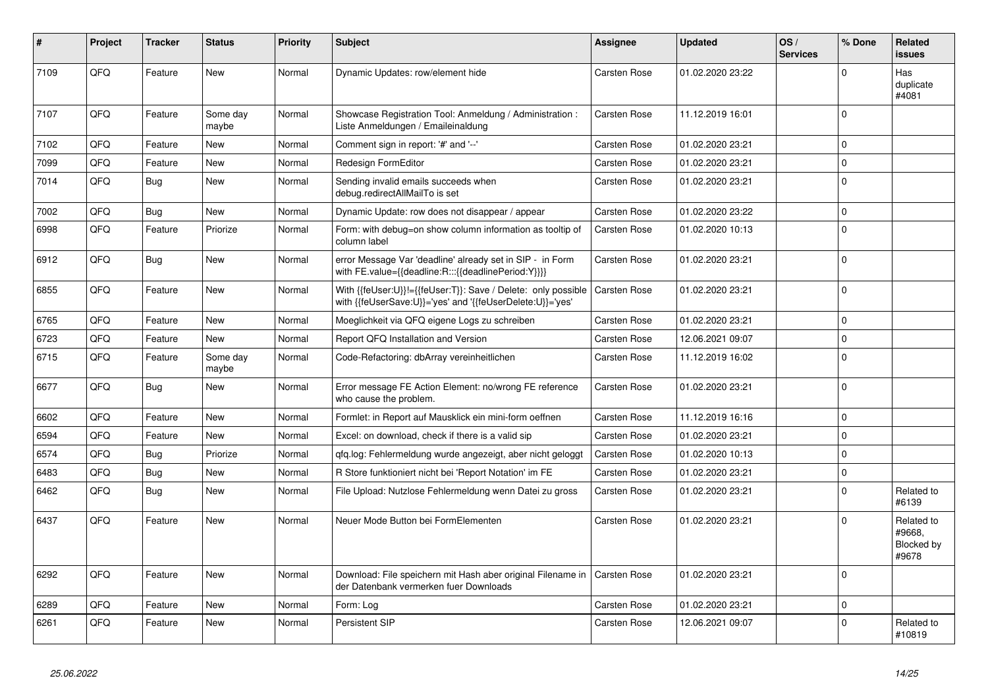| #    | <b>Project</b> | <b>Tracker</b> | <b>Status</b>     | <b>Priority</b> | <b>Subject</b>                                                                                                             | Assignee            | <b>Updated</b>   | OS/<br><b>Services</b> | % Done      | Related<br><b>issues</b>                    |
|------|----------------|----------------|-------------------|-----------------|----------------------------------------------------------------------------------------------------------------------------|---------------------|------------------|------------------------|-------------|---------------------------------------------|
| 7109 | QFQ            | Feature        | <b>New</b>        | Normal          | Dynamic Updates: row/element hide                                                                                          | Carsten Rose        | 01.02.2020 23:22 |                        | $\Omega$    | Has<br>duplicate<br>#4081                   |
| 7107 | QFQ            | Feature        | Some day<br>maybe | Normal          | Showcase Registration Tool: Anmeldung / Administration :<br>Liste Anmeldungen / Emaileinaldung                             | Carsten Rose        | 11.12.2019 16:01 |                        | $\Omega$    |                                             |
| 7102 | QFQ            | Feature        | New               | Normal          | Comment sign in report: '#' and '--'                                                                                       | Carsten Rose        | 01.02.2020 23:21 |                        | $\Omega$    |                                             |
| 7099 | QFQ            | Feature        | New               | Normal          | Redesign FormEditor                                                                                                        | Carsten Rose        | 01.02.2020 23:21 |                        | $\Omega$    |                                             |
| 7014 | QFQ            | Bug            | New               | Normal          | Sending invalid emails succeeds when<br>debug.redirectAllMailTo is set                                                     | Carsten Rose        | 01.02.2020 23:21 |                        | $\Omega$    |                                             |
| 7002 | QFQ            | Bug            | New               | Normal          | Dynamic Update: row does not disappear / appear                                                                            | Carsten Rose        | 01.02.2020 23:22 |                        | $\Omega$    |                                             |
| 6998 | QFQ            | Feature        | Priorize          | Normal          | Form: with debug=on show column information as tooltip of<br>column label                                                  | Carsten Rose        | 01.02.2020 10:13 |                        | $\Omega$    |                                             |
| 6912 | QFQ            | <b>Bug</b>     | New               | Normal          | error Message Var 'deadline' already set in SIP - in Form<br>with FE.value={{deadline:R:::{{deadlinePeriod:Y}}}}           | Carsten Rose        | 01.02.2020 23:21 |                        | $\Omega$    |                                             |
| 6855 | QFQ            | Feature        | <b>New</b>        | Normal          | With {{feUser:U}}!={{feUser:T}}: Save / Delete: only possible<br>with {{feUserSave:U}}='yes' and '{{feUserDelete:U}}='yes' | Carsten Rose        | 01.02.2020 23:21 |                        | $\Omega$    |                                             |
| 6765 | QFQ            | Feature        | New               | Normal          | Moeglichkeit via QFQ eigene Logs zu schreiben                                                                              | Carsten Rose        | 01.02.2020 23:21 |                        | $\Omega$    |                                             |
| 6723 | QFQ            | Feature        | New               | Normal          | Report QFQ Installation and Version                                                                                        | Carsten Rose        | 12.06.2021 09:07 |                        | $\mathbf 0$ |                                             |
| 6715 | QFQ            | Feature        | Some day<br>maybe | Normal          | Code-Refactoring: dbArray vereinheitlichen                                                                                 | Carsten Rose        | 11.12.2019 16:02 |                        | $\mathbf 0$ |                                             |
| 6677 | QFQ            | <b>Bug</b>     | New               | Normal          | Error message FE Action Element: no/wrong FE reference<br>who cause the problem.                                           | Carsten Rose        | 01.02.2020 23:21 |                        | $\Omega$    |                                             |
| 6602 | QFQ            | Feature        | <b>New</b>        | Normal          | Formlet: in Report auf Mausklick ein mini-form oeffnen                                                                     | Carsten Rose        | 11.12.2019 16:16 |                        | $\Omega$    |                                             |
| 6594 | QFQ            | Feature        | <b>New</b>        | Normal          | Excel: on download, check if there is a valid sip                                                                          | Carsten Rose        | 01.02.2020 23:21 |                        | $\Omega$    |                                             |
| 6574 | QFQ            | Bug            | Priorize          | Normal          | qfq.log: Fehlermeldung wurde angezeigt, aber nicht geloggt                                                                 | Carsten Rose        | 01.02.2020 10:13 |                        | $\Omega$    |                                             |
| 6483 | QFQ            | Bug            | New               | Normal          | R Store funktioniert nicht bei 'Report Notation' im FE                                                                     | Carsten Rose        | 01.02.2020 23:21 |                        | $\Omega$    |                                             |
| 6462 | QFQ            | <b>Bug</b>     | New               | Normal          | File Upload: Nutzlose Fehlermeldung wenn Datei zu gross                                                                    | Carsten Rose        | 01.02.2020 23:21 |                        | $\Omega$    | Related to<br>#6139                         |
| 6437 | QFQ            | Feature        | New               | Normal          | Neuer Mode Button bei FormElementen                                                                                        | Carsten Rose        | 01.02.2020 23:21 |                        | $\Omega$    | Related to<br>#9668.<br>Blocked by<br>#9678 |
| 6292 | QFQ            | Feature        | <b>New</b>        | Normal          | Download: File speichern mit Hash aber original Filename in<br>der Datenbank vermerken fuer Downloads                      | <b>Carsten Rose</b> | 01.02.2020 23:21 |                        | $\Omega$    |                                             |
| 6289 | QFQ            | Feature        | New               | Normal          | Form: Log                                                                                                                  | Carsten Rose        | 01.02.2020 23:21 |                        | $\mathbf 0$ |                                             |
| 6261 | QFQ            | Feature        | <b>New</b>        | Normal          | Persistent SIP                                                                                                             | Carsten Rose        | 12.06.2021 09:07 |                        | $\Omega$    | Related to<br>#10819                        |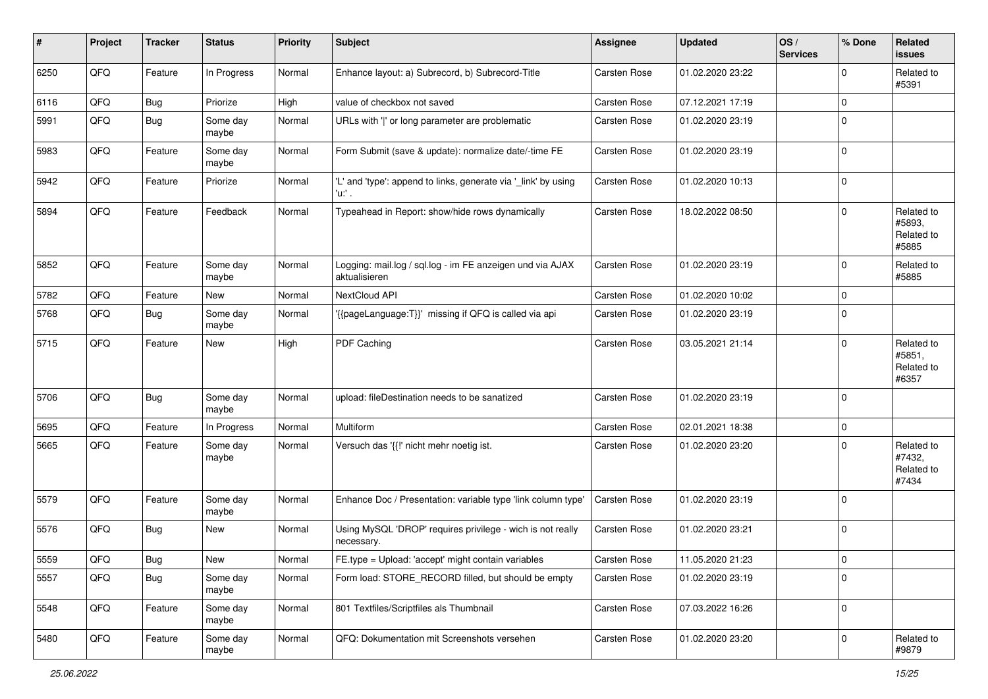| #    | Project | <b>Tracker</b> | <b>Status</b>     | <b>Priority</b> | <b>Subject</b>                                                             | <b>Assignee</b>     | <b>Updated</b>   | OS/<br><b>Services</b> | % Done      | Related<br><b>issues</b>                    |
|------|---------|----------------|-------------------|-----------------|----------------------------------------------------------------------------|---------------------|------------------|------------------------|-------------|---------------------------------------------|
| 6250 | QFQ     | Feature        | In Progress       | Normal          | Enhance layout: a) Subrecord, b) Subrecord-Title                           | Carsten Rose        | 01.02.2020 23:22 |                        | $\Omega$    | Related to<br>#5391                         |
| 6116 | QFQ     | <b>Bug</b>     | Priorize          | High            | value of checkbox not saved                                                | Carsten Rose        | 07.12.2021 17:19 |                        | $\mathbf 0$ |                                             |
| 5991 | QFQ     | <b>Bug</b>     | Some day<br>maybe | Normal          | URLs with ' ' or long parameter are problematic                            | Carsten Rose        | 01.02.2020 23:19 |                        | 0           |                                             |
| 5983 | QFQ     | Feature        | Some day<br>maybe | Normal          | Form Submit (save & update): normalize date/-time FE                       | Carsten Rose        | 01.02.2020 23:19 |                        | $\mathbf 0$ |                                             |
| 5942 | QFQ     | Feature        | Priorize          | Normal          | 'L' and 'type': append to links, generate via '_link' by using<br>'u:' .   | Carsten Rose        | 01.02.2020 10:13 |                        | $\Omega$    |                                             |
| 5894 | QFQ     | Feature        | Feedback          | Normal          | Typeahead in Report: show/hide rows dynamically                            | Carsten Rose        | 18.02.2022 08:50 |                        | $\Omega$    | Related to<br>#5893,<br>Related to<br>#5885 |
| 5852 | QFQ     | Feature        | Some day<br>maybe | Normal          | Logging: mail.log / sql.log - im FE anzeigen und via AJAX<br>aktualisieren | Carsten Rose        | 01.02.2020 23:19 |                        | $\mathbf 0$ | Related to<br>#5885                         |
| 5782 | QFQ     | Feature        | New               | Normal          | NextCloud API                                                              | Carsten Rose        | 01.02.2020 10:02 |                        | $\Omega$    |                                             |
| 5768 | QFQ     | Bug            | Some day<br>maybe | Normal          | '{{pageLanguage:T}}' missing if QFQ is called via api                      | <b>Carsten Rose</b> | 01.02.2020 23:19 |                        | 0           |                                             |
| 5715 | QFQ     | Feature        | New               | High            | PDF Caching                                                                | Carsten Rose        | 03.05.2021 21:14 |                        | $\Omega$    | Related to<br>#5851,<br>Related to<br>#6357 |
| 5706 | QFQ     | Bug            | Some day<br>maybe | Normal          | upload: fileDestination needs to be sanatized                              | Carsten Rose        | 01.02.2020 23:19 |                        | $\mathbf 0$ |                                             |
| 5695 | QFQ     | Feature        | In Progress       | Normal          | Multiform                                                                  | Carsten Rose        | 02.01.2021 18:38 |                        | 0           |                                             |
| 5665 | QFQ     | Feature        | Some day<br>maybe | Normal          | Versuch das '{{!' nicht mehr noetig ist.                                   | Carsten Rose        | 01.02.2020 23:20 |                        | $\Omega$    | Related to<br>#7432,<br>Related to<br>#7434 |
| 5579 | QFQ     | Feature        | Some day<br>maybe | Normal          | Enhance Doc / Presentation: variable type 'link column type'               | Carsten Rose        | 01.02.2020 23:19 |                        | $\Omega$    |                                             |
| 5576 | QFQ     | <b>Bug</b>     | <b>New</b>        | Normal          | Using MySQL 'DROP' requires privilege - wich is not really<br>necessary.   | Carsten Rose        | 01.02.2020 23:21 |                        | 0           |                                             |
| 5559 | QFG     | <b>Bug</b>     | New               | Normal          | FE.type = Upload: 'accept' might contain variables                         | Carsten Rose        | 11.05.2020 21:23 |                        | $\pmb{0}$   |                                             |
| 5557 | QFQ     | <b>Bug</b>     | Some day<br>maybe | Normal          | Form load: STORE_RECORD filled, but should be empty                        | Carsten Rose        | 01.02.2020 23:19 |                        | $\mathbf 0$ |                                             |
| 5548 | QFO     | Feature        | Some day<br>maybe | Normal          | 801 Textfiles/Scriptfiles als Thumbnail                                    | Carsten Rose        | 07.03.2022 16:26 |                        | $\mathbf 0$ |                                             |
| 5480 | QFO     | Feature        | Some day<br>maybe | Normal          | QFQ: Dokumentation mit Screenshots versehen                                | Carsten Rose        | 01.02.2020 23:20 |                        | $\mathbf 0$ | Related to<br>#9879                         |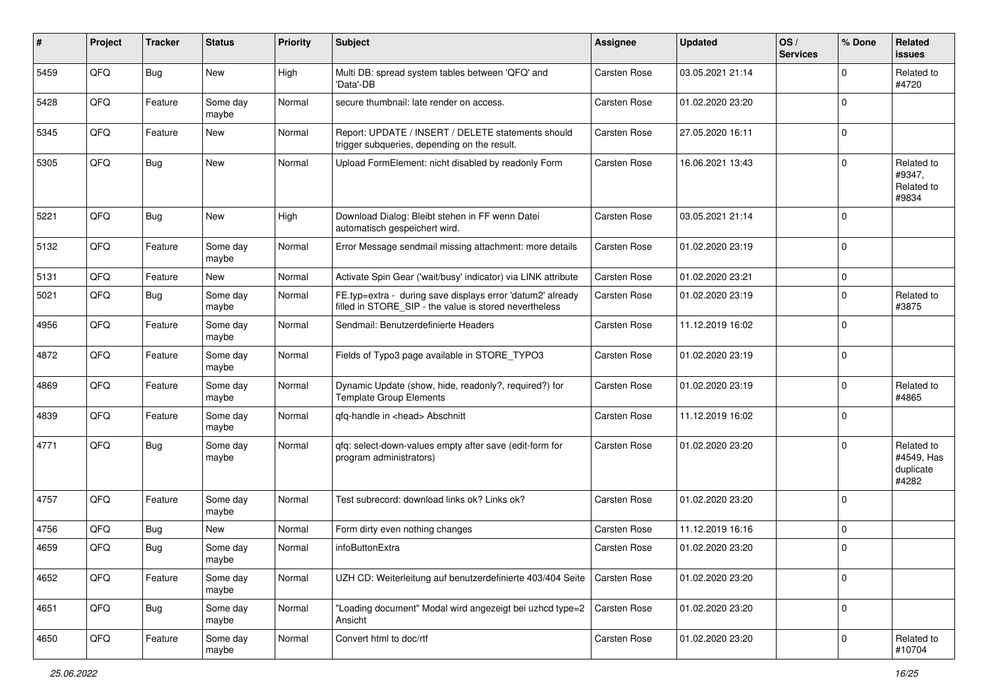| $\sharp$ | Project | <b>Tracker</b> | <b>Status</b>     | <b>Priority</b> | <b>Subject</b>                                                                                                       | <b>Assignee</b> | <b>Updated</b>   | OS/<br><b>Services</b> | % Done      | Related<br><b>issues</b>                       |
|----------|---------|----------------|-------------------|-----------------|----------------------------------------------------------------------------------------------------------------------|-----------------|------------------|------------------------|-------------|------------------------------------------------|
| 5459     | QFQ     | Bug            | New               | High            | Multi DB: spread system tables between 'QFQ' and<br>'Data'-DB                                                        | Carsten Rose    | 03.05.2021 21:14 |                        | $\mathbf 0$ | Related to<br>#4720                            |
| 5428     | QFQ     | Feature        | Some day<br>maybe | Normal          | secure thumbnail: late render on access.                                                                             | Carsten Rose    | 01.02.2020 23:20 |                        | $\mathbf 0$ |                                                |
| 5345     | QFQ     | Feature        | New               | Normal          | Report: UPDATE / INSERT / DELETE statements should<br>trigger subqueries, depending on the result.                   | Carsten Rose    | 27.05.2020 16:11 |                        | $\mathbf 0$ |                                                |
| 5305     | QFQ     | Bug            | New               | Normal          | Upload FormElement: nicht disabled by readonly Form                                                                  | Carsten Rose    | 16.06.2021 13:43 |                        | $\mathbf 0$ | Related to<br>#9347,<br>Related to<br>#9834    |
| 5221     | QFQ     | Bug            | New               | High            | Download Dialog: Bleibt stehen in FF wenn Datei<br>automatisch gespeichert wird.                                     | Carsten Rose    | 03.05.2021 21:14 |                        | $\mathbf 0$ |                                                |
| 5132     | QFQ     | Feature        | Some day<br>maybe | Normal          | Error Message sendmail missing attachment: more details                                                              | Carsten Rose    | 01.02.2020 23:19 |                        | $\mathbf 0$ |                                                |
| 5131     | QFQ     | Feature        | New               | Normal          | Activate Spin Gear ('wait/busy' indicator) via LINK attribute                                                        | Carsten Rose    | 01.02.2020 23:21 |                        | $\pmb{0}$   |                                                |
| 5021     | QFQ     | <b>Bug</b>     | Some day<br>maybe | Normal          | FE.typ=extra - during save displays error 'datum2' already<br>filled in STORE_SIP - the value is stored nevertheless | Carsten Rose    | 01.02.2020 23:19 |                        | $\mathbf 0$ | Related to<br>#3875                            |
| 4956     | QFQ     | Feature        | Some day<br>maybe | Normal          | Sendmail: Benutzerdefinierte Headers                                                                                 | Carsten Rose    | 11.12.2019 16:02 |                        | $\mathbf 0$ |                                                |
| 4872     | QFQ     | Feature        | Some day<br>maybe | Normal          | Fields of Typo3 page available in STORE_TYPO3                                                                        | Carsten Rose    | 01.02.2020 23:19 |                        | $\mathbf 0$ |                                                |
| 4869     | QFQ     | Feature        | Some day<br>maybe | Normal          | Dynamic Update (show, hide, readonly?, required?) for<br><b>Template Group Elements</b>                              | Carsten Rose    | 01.02.2020 23:19 |                        | $\mathbf 0$ | Related to<br>#4865                            |
| 4839     | QFQ     | Feature        | Some day<br>maybe | Normal          | qfq-handle in <head> Abschnitt</head>                                                                                | Carsten Rose    | 11.12.2019 16:02 |                        | $\mathbf 0$ |                                                |
| 4771     | QFQ     | Bug            | Some day<br>maybe | Normal          | qfq: select-down-values empty after save (edit-form for<br>program administrators)                                   | Carsten Rose    | 01.02.2020 23:20 |                        | $\mathbf 0$ | Related to<br>#4549, Has<br>duplicate<br>#4282 |
| 4757     | QFQ     | Feature        | Some day<br>maybe | Normal          | Test subrecord: download links ok? Links ok?                                                                         | Carsten Rose    | 01.02.2020 23:20 |                        | $\mathbf 0$ |                                                |
| 4756     | QFQ     | Bug            | New               | Normal          | Form dirty even nothing changes                                                                                      | Carsten Rose    | 11.12.2019 16:16 |                        | $\mathbf 0$ |                                                |
| 4659     | QFQ     | Bug            | Some day<br>maybe | Normal          | infoButtonExtra                                                                                                      | Carsten Rose    | 01.02.2020 23:20 |                        | $\mathbf 0$ |                                                |
| 4652     | QFQ     | Feature        | Some day<br>maybe | Normal          | UZH CD: Weiterleitung auf benutzerdefinierte 403/404 Seite                                                           | Carsten Rose    | 01.02.2020 23:20 |                        | $\mathbf 0$ |                                                |
| 4651     | QFO     | <b>Bug</b>     | Some day<br>maybe | Normal          | "Loading document" Modal wird angezeigt bei uzhcd type=2<br>Ansicht                                                  | Carsten Rose    | 01.02.2020 23:20 |                        | $\mathbf 0$ |                                                |
| 4650     | QFQ     | Feature        | Some day<br>maybe | Normal          | Convert html to doc/rtf                                                                                              | Carsten Rose    | 01.02.2020 23:20 |                        | $\mathbf 0$ | Related to<br>#10704                           |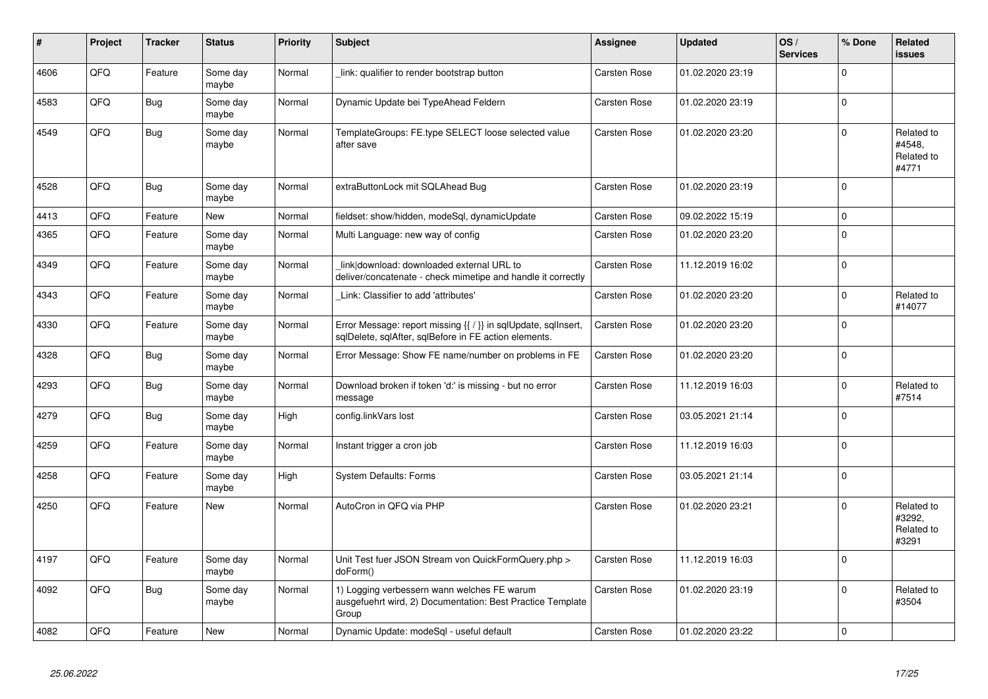| ∦    | Project | <b>Tracker</b> | <b>Status</b>     | <b>Priority</b> | <b>Subject</b>                                                                                                          | Assignee            | <b>Updated</b>   | OS/<br><b>Services</b> | % Done      | <b>Related</b><br><b>issues</b>             |
|------|---------|----------------|-------------------|-----------------|-------------------------------------------------------------------------------------------------------------------------|---------------------|------------------|------------------------|-------------|---------------------------------------------|
| 4606 | QFQ     | Feature        | Some day<br>maybe | Normal          | link: qualifier to render bootstrap button                                                                              | Carsten Rose        | 01.02.2020 23:19 |                        | $\mathbf 0$ |                                             |
| 4583 | QFQ     | <b>Bug</b>     | Some day<br>maybe | Normal          | Dynamic Update bei TypeAhead Feldern                                                                                    | Carsten Rose        | 01.02.2020 23:19 |                        | $\mathsf 0$ |                                             |
| 4549 | QFQ     | <b>Bug</b>     | Some day<br>maybe | Normal          | TemplateGroups: FE.type SELECT loose selected value<br>after save                                                       | Carsten Rose        | 01.02.2020 23:20 |                        | $\mathbf 0$ | Related to<br>#4548.<br>Related to<br>#4771 |
| 4528 | QFQ     | <b>Bug</b>     | Some day<br>maybe | Normal          | extraButtonLock mit SQLAhead Bug                                                                                        | <b>Carsten Rose</b> | 01.02.2020 23:19 |                        | $\mathbf 0$ |                                             |
| 4413 | QFQ     | Feature        | <b>New</b>        | Normal          | fieldset: show/hidden, modeSql, dynamicUpdate                                                                           | <b>Carsten Rose</b> | 09.02.2022 15:19 |                        | $\mathbf 0$ |                                             |
| 4365 | QFQ     | Feature        | Some day<br>maybe | Normal          | Multi Language: new way of config                                                                                       | <b>Carsten Rose</b> | 01.02.2020 23:20 |                        | $\mathbf 0$ |                                             |
| 4349 | QFQ     | Feature        | Some day<br>maybe | Normal          | link download: downloaded external URL to<br>deliver/concatenate - check mimetipe and handle it correctly               | Carsten Rose        | 11.12.2019 16:02 |                        | $\mathsf 0$ |                                             |
| 4343 | QFQ     | Feature        | Some day<br>maybe | Normal          | Link: Classifier to add 'attributes'                                                                                    | Carsten Rose        | 01.02.2020 23:20 |                        | $\pmb{0}$   | Related to<br>#14077                        |
| 4330 | QFQ     | Feature        | Some day<br>maybe | Normal          | Error Message: report missing {{ / }} in sqlUpdate, sqlInsert,<br>sqlDelete, sqlAfter, sqlBefore in FE action elements. | Carsten Rose        | 01.02.2020 23:20 |                        | $\mathbf 0$ |                                             |
| 4328 | QFQ     | Bug            | Some day<br>maybe | Normal          | Error Message: Show FE name/number on problems in FE                                                                    | Carsten Rose        | 01.02.2020 23:20 |                        | $\pmb{0}$   |                                             |
| 4293 | QFQ     | Bug            | Some day<br>maybe | Normal          | Download broken if token 'd:' is missing - but no error<br>message                                                      | <b>Carsten Rose</b> | 11.12.2019 16:03 |                        | $\mathsf 0$ | Related to<br>#7514                         |
| 4279 | QFQ     | <b>Bug</b>     | Some day<br>maybe | High            | config.linkVars lost                                                                                                    | Carsten Rose        | 03.05.2021 21:14 |                        | $\mathbf 0$ |                                             |
| 4259 | QFQ     | Feature        | Some day<br>maybe | Normal          | Instant trigger a cron job                                                                                              | <b>Carsten Rose</b> | 11.12.2019 16:03 |                        | $\mathbf 0$ |                                             |
| 4258 | QFQ     | Feature        | Some day<br>maybe | High            | System Defaults: Forms                                                                                                  | Carsten Rose        | 03.05.2021 21:14 |                        | $\mathsf 0$ |                                             |
| 4250 | QFQ     | Feature        | <b>New</b>        | Normal          | AutoCron in QFQ via PHP                                                                                                 | Carsten Rose        | 01.02.2020 23:21 |                        | $\mathbf 0$ | Related to<br>#3292,<br>Related to<br>#3291 |
| 4197 | QFQ     | Feature        | Some day<br>maybe | Normal          | Unit Test fuer JSON Stream von QuickFormQuery.php ><br>doForm()                                                         | Carsten Rose        | 11.12.2019 16:03 |                        | $\mathbf 0$ |                                             |
| 4092 | QFQ     | <b>Bug</b>     | Some day<br>maybe | Normal          | 1) Logging verbessern wann welches FE warum<br>ausgefuehrt wird, 2) Documentation: Best Practice Template<br>Group      | Carsten Rose        | 01.02.2020 23:19 |                        | $\Omega$    | Related to<br>#3504                         |
| 4082 | QFQ     | Feature        | <b>New</b>        | Normal          | Dynamic Update: modeSql - useful default                                                                                | Carsten Rose        | 01.02.2020 23:22 |                        | $\mathbf 0$ |                                             |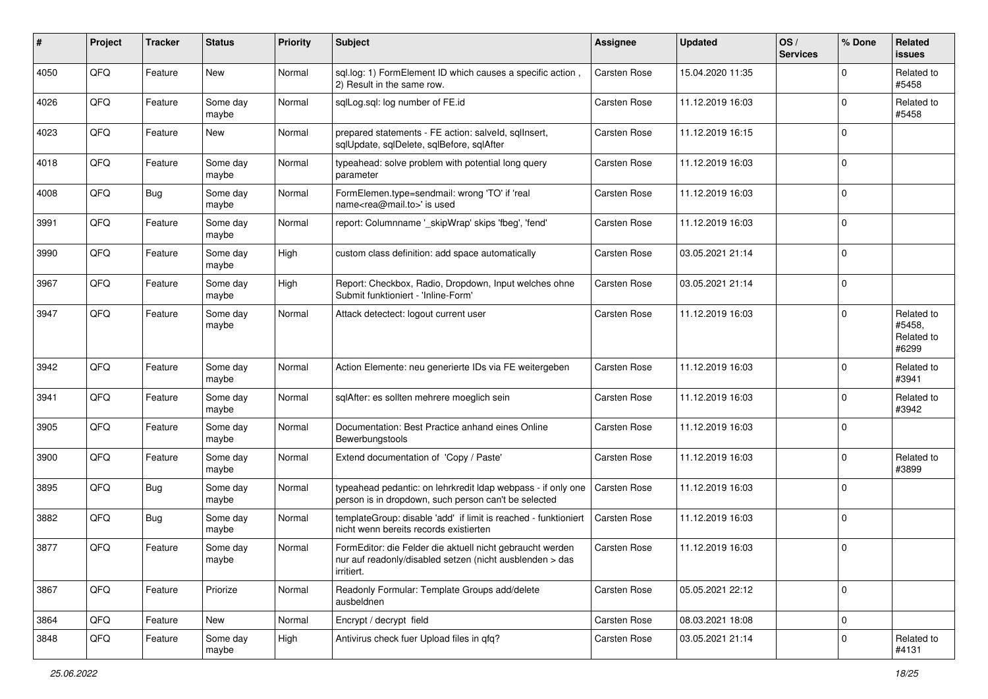| $\#$ | Project | <b>Tracker</b> | <b>Status</b>     | <b>Priority</b> | <b>Subject</b>                                                                                                                      | <b>Assignee</b> | <b>Updated</b>   | OS/<br><b>Services</b> | % Done      | Related<br><b>issues</b>                    |
|------|---------|----------------|-------------------|-----------------|-------------------------------------------------------------------------------------------------------------------------------------|-----------------|------------------|------------------------|-------------|---------------------------------------------|
| 4050 | QFQ     | Feature        | <b>New</b>        | Normal          | sql.log: 1) FormElement ID which causes a specific action,<br>2) Result in the same row.                                            | Carsten Rose    | 15.04.2020 11:35 |                        | $\Omega$    | Related to<br>#5458                         |
| 4026 | QFQ     | Feature        | Some day<br>maybe | Normal          | sglLog.sgl: log number of FE.id                                                                                                     | Carsten Rose    | 11.12.2019 16:03 |                        | $\mathbf 0$ | Related to<br>#5458                         |
| 4023 | QFQ     | Feature        | New               | Normal          | prepared statements - FE action: salveld, sqllnsert,<br>sqlUpdate, sqlDelete, sqlBefore, sqlAfter                                   | Carsten Rose    | 11.12.2019 16:15 |                        | $\Omega$    |                                             |
| 4018 | QFQ     | Feature        | Some day<br>maybe | Normal          | typeahead: solve problem with potential long query<br>parameter                                                                     | Carsten Rose    | 11.12.2019 16:03 |                        | $\Omega$    |                                             |
| 4008 | QFQ     | Bug            | Some day<br>maybe | Normal          | FormElemen.type=sendmail: wrong 'TO' if 'real<br>name <rea@mail.to>' is used</rea@mail.to>                                          | Carsten Rose    | 11.12.2019 16:03 |                        | $\Omega$    |                                             |
| 3991 | QFQ     | Feature        | Some day<br>maybe | Normal          | report: Columnname '_skipWrap' skips 'fbeg', 'fend'                                                                                 | Carsten Rose    | 11.12.2019 16:03 |                        | $\Omega$    |                                             |
| 3990 | QFQ     | Feature        | Some day<br>maybe | High            | custom class definition: add space automatically                                                                                    | Carsten Rose    | 03.05.2021 21:14 |                        | $\Omega$    |                                             |
| 3967 | QFQ     | Feature        | Some day<br>maybe | High            | Report: Checkbox, Radio, Dropdown, Input welches ohne<br>Submit funktioniert - 'Inline-Form'                                        | Carsten Rose    | 03.05.2021 21:14 |                        | $\mathbf 0$ |                                             |
| 3947 | QFQ     | Feature        | Some day<br>maybe | Normal          | Attack detectect: logout current user                                                                                               | Carsten Rose    | 11.12.2019 16:03 |                        | $\Omega$    | Related to<br>#5458,<br>Related to<br>#6299 |
| 3942 | QFQ     | Feature        | Some day<br>maybe | Normal          | Action Elemente: neu generierte IDs via FE weitergeben                                                                              | Carsten Rose    | 11.12.2019 16:03 |                        | $\Omega$    | Related to<br>#3941                         |
| 3941 | QFQ     | Feature        | Some day<br>maybe | Normal          | sqlAfter: es sollten mehrere moeglich sein                                                                                          | Carsten Rose    | 11.12.2019 16:03 |                        | $\Omega$    | Related to<br>#3942                         |
| 3905 | QFQ     | Feature        | Some day<br>maybe | Normal          | Documentation: Best Practice anhand eines Online<br>Bewerbungstools                                                                 | Carsten Rose    | 11.12.2019 16:03 |                        | $\Omega$    |                                             |
| 3900 | QFQ     | Feature        | Some day<br>maybe | Normal          | Extend documentation of 'Copy / Paste'                                                                                              | Carsten Rose    | 11.12.2019 16:03 |                        | $\Omega$    | Related to<br>#3899                         |
| 3895 | QFQ     | Bug            | Some day<br>maybe | Normal          | typeahead pedantic: on lehrkredit Idap webpass - if only one<br>person is in dropdown, such person can't be selected                | Carsten Rose    | 11.12.2019 16:03 |                        | $\Omega$    |                                             |
| 3882 | QFQ     | Bug            | Some day<br>maybe | Normal          | templateGroup: disable 'add' if limit is reached - funktioniert<br>nicht wenn bereits records existierten                           | Carsten Rose    | 11.12.2019 16:03 |                        | $\Omega$    |                                             |
| 3877 | QFQ     | Feature        | Some day<br>maybe | Normal          | FormEditor: die Felder die aktuell nicht gebraucht werden<br>nur auf readonly/disabled setzen (nicht ausblenden > das<br>irritiert. | Carsten Rose    | 11.12.2019 16:03 |                        | $\Omega$    |                                             |
| 3867 | QFQ     | Feature        | Priorize          | Normal          | Readonly Formular: Template Groups add/delete<br>ausbeldnen                                                                         | Carsten Rose    | 05.05.2021 22:12 |                        | $\mathbf 0$ |                                             |
| 3864 | QFQ     | Feature        | New               | Normal          | Encrypt / decrypt field                                                                                                             | Carsten Rose    | 08.03.2021 18:08 |                        | $\mathbf 0$ |                                             |
| 3848 | QFQ     | Feature        | Some day<br>maybe | High            | Antivirus check fuer Upload files in qfq?                                                                                           | Carsten Rose    | 03.05.2021 21:14 |                        | $\mathbf 0$ | Related to<br>#4131                         |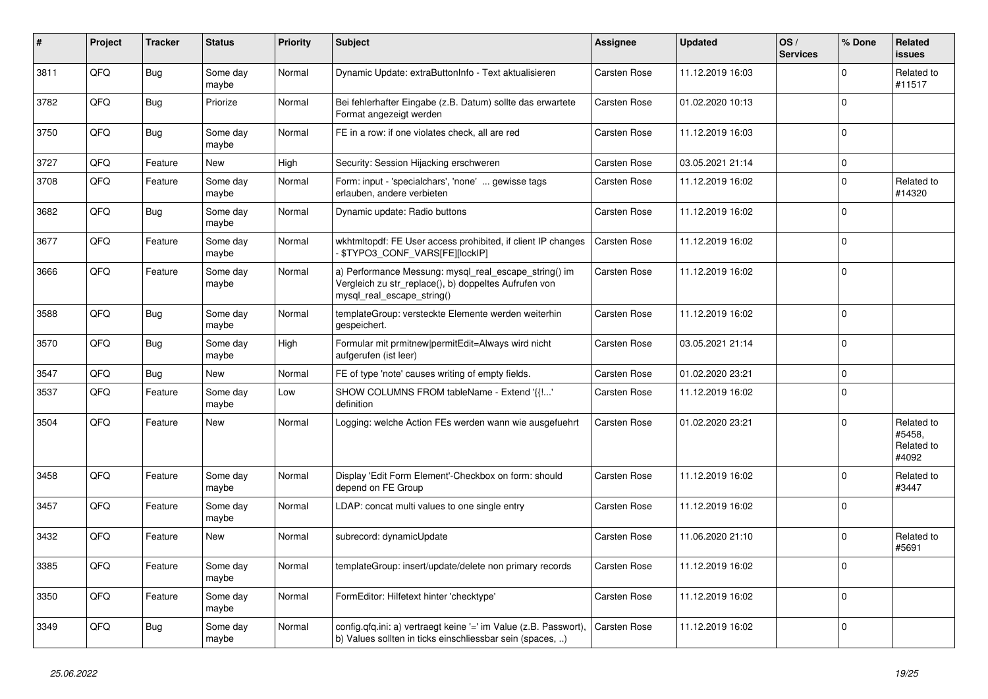| $\vert$ # | Project | <b>Tracker</b> | <b>Status</b>     | <b>Priority</b> | <b>Subject</b>                                                                                                                               | Assignee            | <b>Updated</b>   | OS/<br><b>Services</b> | % Done      | Related<br><b>issues</b>                    |
|-----------|---------|----------------|-------------------|-----------------|----------------------------------------------------------------------------------------------------------------------------------------------|---------------------|------------------|------------------------|-------------|---------------------------------------------|
| 3811      | QFQ     | Bug            | Some day<br>maybe | Normal          | Dynamic Update: extraButtonInfo - Text aktualisieren                                                                                         | Carsten Rose        | 11.12.2019 16:03 |                        | $\Omega$    | Related to<br>#11517                        |
| 3782      | QFQ     | Bug            | Priorize          | Normal          | Bei fehlerhafter Eingabe (z.B. Datum) sollte das erwartete<br>Format angezeigt werden                                                        | Carsten Rose        | 01.02.2020 10:13 |                        | $\Omega$    |                                             |
| 3750      | QFQ     | Bug            | Some day<br>maybe | Normal          | FE in a row: if one violates check, all are red                                                                                              | Carsten Rose        | 11.12.2019 16:03 |                        | $\Omega$    |                                             |
| 3727      | QFQ     | Feature        | <b>New</b>        | High            | Security: Session Hijacking erschweren                                                                                                       | <b>Carsten Rose</b> | 03.05.2021 21:14 |                        | $\mathbf 0$ |                                             |
| 3708      | QFQ     | Feature        | Some day<br>maybe | Normal          | Form: input - 'specialchars', 'none'  gewisse tags<br>erlauben, andere verbieten                                                             | Carsten Rose        | 11.12.2019 16:02 |                        | $\Omega$    | Related to<br>#14320                        |
| 3682      | QFQ     | <b>Bug</b>     | Some day<br>maybe | Normal          | Dynamic update: Radio buttons                                                                                                                | Carsten Rose        | 11.12.2019 16:02 |                        | $\Omega$    |                                             |
| 3677      | QFQ     | Feature        | Some day<br>maybe | Normal          | wkhtmltopdf: FE User access prohibited, if client IP changes<br>\$TYPO3_CONF_VARS[FE][lockIP]                                                | Carsten Rose        | 11.12.2019 16:02 |                        | $\Omega$    |                                             |
| 3666      | QFQ     | Feature        | Some day<br>maybe | Normal          | a) Performance Messung: mysql_real_escape_string() im<br>Vergleich zu str_replace(), b) doppeltes Aufrufen von<br>mysql real escape string() | Carsten Rose        | 11.12.2019 16:02 |                        | $\Omega$    |                                             |
| 3588      | QFQ     | <b>Bug</b>     | Some day<br>maybe | Normal          | templateGroup: versteckte Elemente werden weiterhin<br>gespeichert.                                                                          | Carsten Rose        | 11.12.2019 16:02 |                        | $\Omega$    |                                             |
| 3570      | QFQ     | Bug            | Some day<br>maybe | High            | Formular mit prmitnew permitEdit=Always wird nicht<br>aufgerufen (ist leer)                                                                  | Carsten Rose        | 03.05.2021 21:14 |                        | $\Omega$    |                                             |
| 3547      | QFQ     | Bug            | New               | Normal          | FE of type 'note' causes writing of empty fields.                                                                                            | Carsten Rose        | 01.02.2020 23:21 |                        | $\mathbf 0$ |                                             |
| 3537      | QFQ     | Feature        | Some day<br>maybe | Low             | SHOW COLUMNS FROM tableName - Extend '{{!'<br>definition                                                                                     | Carsten Rose        | 11.12.2019 16:02 |                        | $\mathbf 0$ |                                             |
| 3504      | QFQ     | Feature        | New               | Normal          | Logging: welche Action FEs werden wann wie ausgefuehrt                                                                                       | Carsten Rose        | 01.02.2020 23:21 |                        | $\Omega$    | Related to<br>#5458,<br>Related to<br>#4092 |
| 3458      | QFQ     | Feature        | Some day<br>maybe | Normal          | Display 'Edit Form Element'-Checkbox on form: should<br>depend on FE Group                                                                   | Carsten Rose        | 11.12.2019 16:02 |                        | $\Omega$    | Related to<br>#3447                         |
| 3457      | QFQ     | Feature        | Some day<br>maybe | Normal          | LDAP: concat multi values to one single entry                                                                                                | Carsten Rose        | 11.12.2019 16:02 |                        | $\Omega$    |                                             |
| 3432      | QFQ     | Feature        | <b>New</b>        | Normal          | subrecord: dynamicUpdate                                                                                                                     | Carsten Rose        | 11.06.2020 21:10 |                        | $\Omega$    | Related to<br>#5691                         |
| 3385      | QFQ     | Feature        | Some day<br>maybe | Normal          | templateGroup: insert/update/delete non primary records                                                                                      | Carsten Rose        | 11.12.2019 16:02 |                        | $\Omega$    |                                             |
| 3350      | QFQ     | Feature        | Some day<br>maybe | Normal          | FormEditor: Hilfetext hinter 'checktype'                                                                                                     | Carsten Rose        | 11.12.2019 16:02 |                        | $\Omega$    |                                             |
| 3349      | QFQ     | <b>Bug</b>     | Some day<br>maybe | Normal          | config.qfq.ini: a) vertraegt keine '=' im Value (z.B. Passwort),<br>b) Values sollten in ticks einschliessbar sein (spaces, )                | Carsten Rose        | 11.12.2019 16:02 |                        | $\Omega$    |                                             |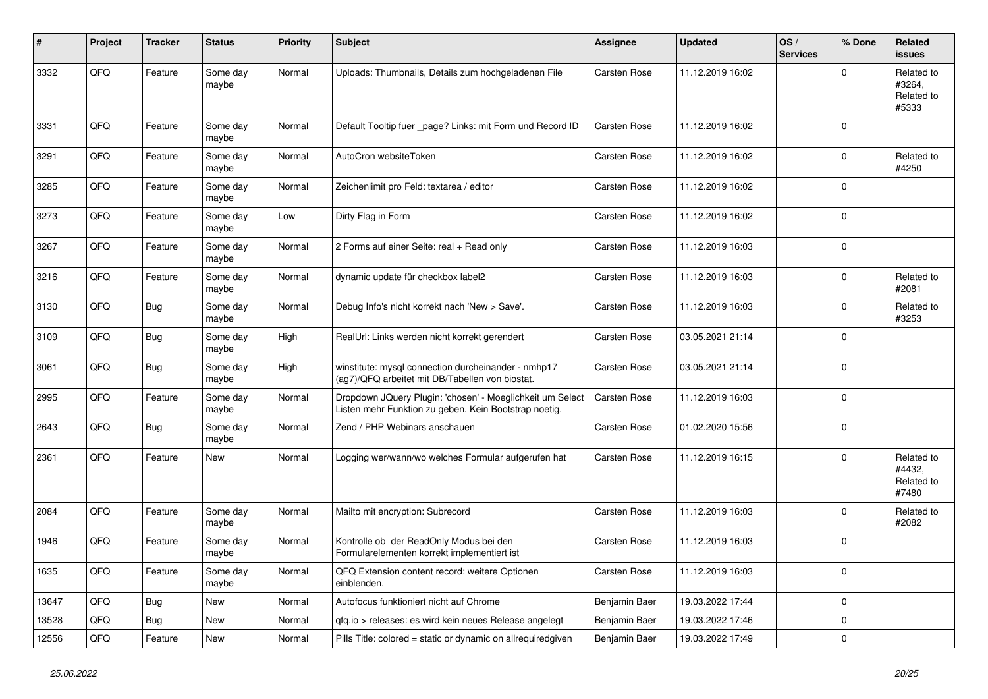| #     | Project | <b>Tracker</b> | <b>Status</b>     | <b>Priority</b> | <b>Subject</b>                                                                                                     | Assignee            | <b>Updated</b>   | OS/<br><b>Services</b> | % Done      | Related<br><b>issues</b>                    |
|-------|---------|----------------|-------------------|-----------------|--------------------------------------------------------------------------------------------------------------------|---------------------|------------------|------------------------|-------------|---------------------------------------------|
| 3332  | QFQ     | Feature        | Some day<br>maybe | Normal          | Uploads: Thumbnails, Details zum hochgeladenen File                                                                | Carsten Rose        | 11.12.2019 16:02 |                        | $\Omega$    | Related to<br>#3264,<br>Related to<br>#5333 |
| 3331  | QFQ     | Feature        | Some day<br>maybe | Normal          | Default Tooltip fuer page? Links: mit Form und Record ID                                                           | <b>Carsten Rose</b> | 11.12.2019 16:02 |                        | $\mathbf 0$ |                                             |
| 3291  | QFQ     | Feature        | Some day<br>maybe | Normal          | AutoCron websiteToken                                                                                              | <b>Carsten Rose</b> | 11.12.2019 16:02 |                        | $\mathbf 0$ | Related to<br>#4250                         |
| 3285  | QFQ     | Feature        | Some day<br>maybe | Normal          | Zeichenlimit pro Feld: textarea / editor                                                                           | Carsten Rose        | 11.12.2019 16:02 |                        | $\Omega$    |                                             |
| 3273  | QFQ     | Feature        | Some day<br>maybe | Low             | Dirty Flag in Form                                                                                                 | Carsten Rose        | 11.12.2019 16:02 |                        | $\mathbf 0$ |                                             |
| 3267  | QFQ     | Feature        | Some day<br>maybe | Normal          | 2 Forms auf einer Seite: real + Read only                                                                          | <b>Carsten Rose</b> | 11.12.2019 16:03 |                        | $\mathbf 0$ |                                             |
| 3216  | QFQ     | Feature        | Some day<br>maybe | Normal          | dynamic update für checkbox label2                                                                                 | Carsten Rose        | 11.12.2019 16:03 |                        | $\mathbf 0$ | Related to<br>#2081                         |
| 3130  | QFQ     | <b>Bug</b>     | Some day<br>maybe | Normal          | Debug Info's nicht korrekt nach 'New > Save'.                                                                      | <b>Carsten Rose</b> | 11.12.2019 16:03 |                        | $\mathbf 0$ | Related to<br>#3253                         |
| 3109  | QFQ     | <b>Bug</b>     | Some day<br>maybe | High            | RealUrl: Links werden nicht korrekt gerendert                                                                      | Carsten Rose        | 03.05.2021 21:14 |                        | $\Omega$    |                                             |
| 3061  | QFQ     | <b>Bug</b>     | Some day<br>maybe | High            | winstitute: mysql connection durcheinander - nmhp17<br>(ag7)/QFQ arbeitet mit DB/Tabellen von biostat.             | Carsten Rose        | 03.05.2021 21:14 |                        | $\mathbf 0$ |                                             |
| 2995  | QFQ     | Feature        | Some day<br>maybe | Normal          | Dropdown JQuery Plugin: 'chosen' - Moeglichkeit um Select<br>Listen mehr Funktion zu geben. Kein Bootstrap noetig. | <b>Carsten Rose</b> | 11.12.2019 16:03 |                        | $\mathbf 0$ |                                             |
| 2643  | QFQ     | <b>Bug</b>     | Some day<br>maybe | Normal          | Zend / PHP Webinars anschauen                                                                                      | Carsten Rose        | 01.02.2020 15:56 |                        | $\mathbf 0$ |                                             |
| 2361  | QFQ     | Feature        | New               | Normal          | Logging wer/wann/wo welches Formular aufgerufen hat                                                                | Carsten Rose        | 11.12.2019 16:15 |                        | $\mathbf 0$ | Related to<br>#4432,<br>Related to<br>#7480 |
| 2084  | QFQ     | Feature        | Some day<br>maybe | Normal          | Mailto mit encryption: Subrecord                                                                                   | Carsten Rose        | 11.12.2019 16:03 |                        | $\mathbf 0$ | Related to<br>#2082                         |
| 1946  | QFQ     | Feature        | Some day<br>maybe | Normal          | Kontrolle ob der ReadOnly Modus bei den<br>Formularelementen korrekt implementiert ist                             | <b>Carsten Rose</b> | 11.12.2019 16:03 |                        | $\mathbf 0$ |                                             |
| 1635  | QFQ     | Feature        | Some day<br>maybe | Normal          | QFQ Extension content record: weitere Optionen<br>einblenden.                                                      | <b>Carsten Rose</b> | 11.12.2019 16:03 |                        | $\mathbf 0$ |                                             |
| 13647 | QFQ     | <b>Bug</b>     | <b>New</b>        | Normal          | Autofocus funktioniert nicht auf Chrome                                                                            | Benjamin Baer       | 19.03.2022 17:44 |                        | $\mathbf 0$ |                                             |
| 13528 | QFQ     | <b>Bug</b>     | New               | Normal          | gfg.io > releases: es wird kein neues Release angelegt                                                             | Benjamin Baer       | 19.03.2022 17:46 |                        | $\mathbf 0$ |                                             |
| 12556 | QFQ     | Feature        | New               | Normal          | Pills Title: colored = static or dynamic on allrequiredgiven                                                       | Benjamin Baer       | 19.03.2022 17:49 |                        | $\mathbf 0$ |                                             |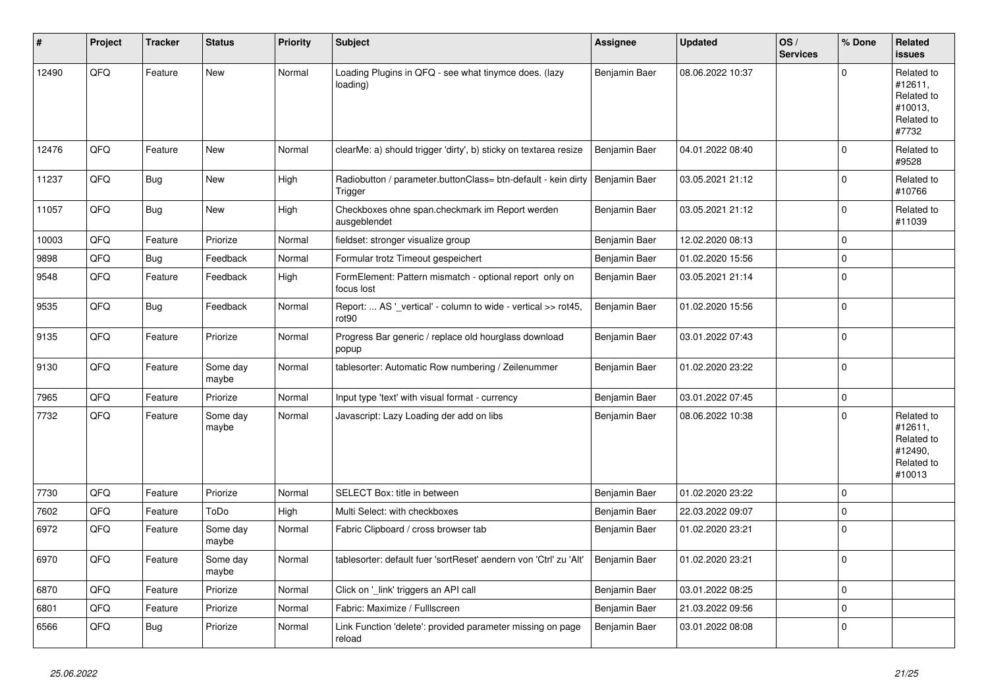| #     | Project | <b>Tracker</b> | <b>Status</b>     | <b>Priority</b> | <b>Subject</b>                                                           | Assignee      | <b>Updated</b>   | OS/<br><b>Services</b> | % Done      | Related<br><b>issues</b>                                               |
|-------|---------|----------------|-------------------|-----------------|--------------------------------------------------------------------------|---------------|------------------|------------------------|-------------|------------------------------------------------------------------------|
| 12490 | QFQ     | Feature        | <b>New</b>        | Normal          | Loading Plugins in QFQ - see what tinymce does. (lazy<br>loading)        | Benjamin Baer | 08.06.2022 10:37 |                        | $\mathbf 0$ | Related to<br>#12611,<br>Related to<br>#10013,<br>Related to<br>#7732  |
| 12476 | QFQ     | Feature        | New               | Normal          | clearMe: a) should trigger 'dirty', b) sticky on textarea resize         | Benjamin Baer | 04.01.2022 08:40 |                        | $\mathbf 0$ | Related to<br>#9528                                                    |
| 11237 | QFQ     | Bug            | <b>New</b>        | High            | Radiobutton / parameter.buttonClass= btn-default - kein dirty<br>Trigger | Benjamin Baer | 03.05.2021 21:12 |                        | $\mathbf 0$ | Related to<br>#10766                                                   |
| 11057 | QFQ     | Bug            | <b>New</b>        | High            | Checkboxes ohne span.checkmark im Report werden<br>ausgeblendet          | Benjamin Baer | 03.05.2021 21:12 |                        | $\mathbf 0$ | Related to<br>#11039                                                   |
| 10003 | QFQ     | Feature        | Priorize          | Normal          | fieldset: stronger visualize group                                       | Benjamin Baer | 12.02.2020 08:13 |                        | $\pmb{0}$   |                                                                        |
| 9898  | QFQ     | <b>Bug</b>     | Feedback          | Normal          | Formular trotz Timeout gespeichert                                       | Benjamin Baer | 01.02.2020 15:56 |                        | $\mathsf 0$ |                                                                        |
| 9548  | QFQ     | Feature        | Feedback          | High            | FormElement: Pattern mismatch - optional report only on<br>focus lost    | Benjamin Baer | 03.05.2021 21:14 |                        | $\pmb{0}$   |                                                                        |
| 9535  | QFQ     | <b>Bug</b>     | Feedback          | Normal          | Report:  AS '_vertical' - column to wide - vertical >> rot45,<br>rot90   | Benjamin Baer | 01.02.2020 15:56 |                        | $\mathsf 0$ |                                                                        |
| 9135  | QFQ     | Feature        | Priorize          | Normal          | Progress Bar generic / replace old hourglass download<br>popup           | Benjamin Baer | 03.01.2022 07:43 |                        | $\Omega$    |                                                                        |
| 9130  | QFQ     | Feature        | Some day<br>maybe | Normal          | tablesorter: Automatic Row numbering / Zeilenummer                       | Benjamin Baer | 01.02.2020 23:22 |                        | $\mathbf 0$ |                                                                        |
| 7965  | QFQ     | Feature        | Priorize          | Normal          | Input type 'text' with visual format - currency                          | Benjamin Baer | 03.01.2022 07:45 |                        | $\mathbf 0$ |                                                                        |
| 7732  | QFQ     | Feature        | Some day<br>maybe | Normal          | Javascript: Lazy Loading der add on libs                                 | Benjamin Baer | 08.06.2022 10:38 |                        | $\mathbf 0$ | Related to<br>#12611,<br>Related to<br>#12490,<br>Related to<br>#10013 |
| 7730  | QFQ     | Feature        | Priorize          | Normal          | SELECT Box: title in between                                             | Benjamin Baer | 01.02.2020 23:22 |                        | $\mathbf 0$ |                                                                        |
| 7602  | QFQ     | Feature        | ToDo              | High            | Multi Select: with checkboxes                                            | Benjamin Baer | 22.03.2022 09:07 |                        | $\mathbf 0$ |                                                                        |
| 6972  | QFQ     | Feature        | Some day<br>maybe | Normal          | Fabric Clipboard / cross browser tab                                     | Benjamin Baer | 01.02.2020 23:21 |                        | $\mathbf 0$ |                                                                        |
| 6970  | QFQ     | Feature        | Some day<br>maybe | Normal          | tablesorter: default fuer 'sortReset' aendern von 'Ctrl' zu 'Alt'        | Benjamin Baer | 01.02.2020 23:21 |                        | $\mathbf 0$ |                                                                        |
| 6870  | QFQ     | Feature        | Priorize          | Normal          | Click on '_link' triggers an API call                                    | Benjamin Baer | 03.01.2022 08:25 |                        | $\mathbf 0$ |                                                                        |
| 6801  | QFQ     | Feature        | Priorize          | Normal          | Fabric: Maximize / FullIscreen                                           | Benjamin Baer | 21.03.2022 09:56 |                        | $\pmb{0}$   |                                                                        |
| 6566  | QFQ     | <b>Bug</b>     | Priorize          | Normal          | Link Function 'delete': provided parameter missing on page<br>reload     | Benjamin Baer | 03.01.2022 08:08 |                        | $\mathbf 0$ |                                                                        |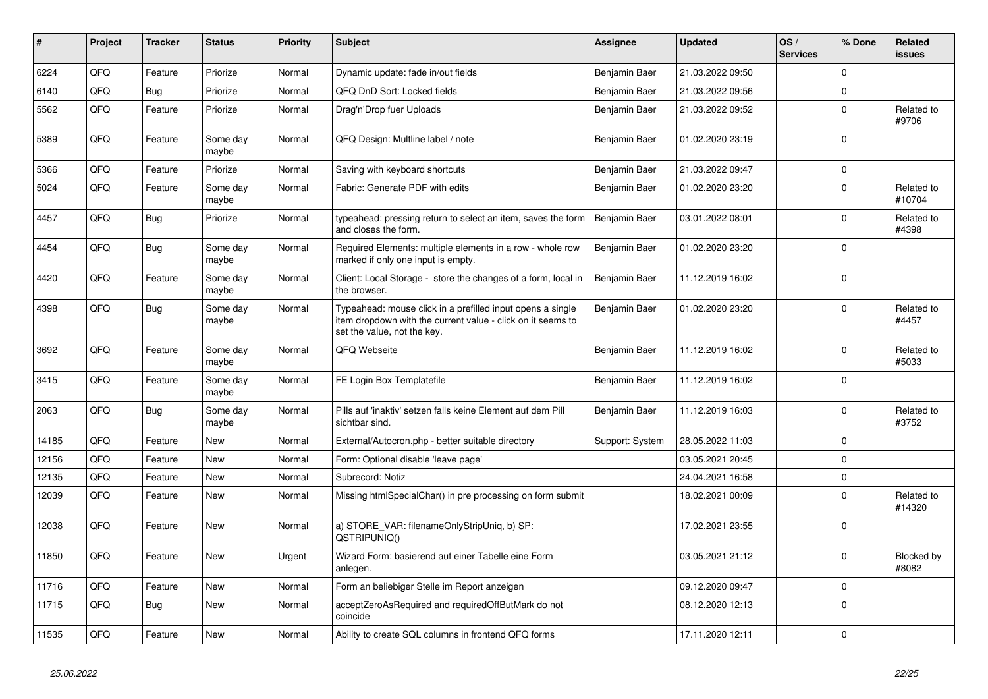| #     | Project | <b>Tracker</b> | <b>Status</b>     | <b>Priority</b> | <b>Subject</b>                                                                                                                                           | Assignee        | <b>Updated</b>   | OS/<br><b>Services</b> | % Done      | <b>Related</b><br><b>issues</b> |
|-------|---------|----------------|-------------------|-----------------|----------------------------------------------------------------------------------------------------------------------------------------------------------|-----------------|------------------|------------------------|-------------|---------------------------------|
| 6224  | QFQ     | Feature        | Priorize          | Normal          | Dynamic update: fade in/out fields                                                                                                                       | Benjamin Baer   | 21.03.2022 09:50 |                        | $\Omega$    |                                 |
| 6140  | QFQ     | <b>Bug</b>     | Priorize          | Normal          | QFQ DnD Sort: Locked fields                                                                                                                              | Benjamin Baer   | 21.03.2022 09:56 |                        | $\mathbf 0$ |                                 |
| 5562  | QFQ     | Feature        | Priorize          | Normal          | Drag'n'Drop fuer Uploads                                                                                                                                 | Benjamin Baer   | 21.03.2022 09:52 |                        | $\mathbf 0$ | Related to<br>#9706             |
| 5389  | QFQ     | Feature        | Some day<br>maybe | Normal          | QFQ Design: Multline label / note                                                                                                                        | Benjamin Baer   | 01.02.2020 23:19 |                        | $\mathbf 0$ |                                 |
| 5366  | QFQ     | Feature        | Priorize          | Normal          | Saving with keyboard shortcuts                                                                                                                           | Benjamin Baer   | 21.03.2022 09:47 |                        | $\mathbf 0$ |                                 |
| 5024  | QFQ     | Feature        | Some day<br>maybe | Normal          | Fabric: Generate PDF with edits                                                                                                                          | Benjamin Baer   | 01.02.2020 23:20 |                        | $\mathbf 0$ | Related to<br>#10704            |
| 4457  | QFQ     | Bug            | Priorize          | Normal          | typeahead: pressing return to select an item, saves the form<br>and closes the form.                                                                     | Benjamin Baer   | 03.01.2022 08:01 |                        | $\mathbf 0$ | Related to<br>#4398             |
| 4454  | QFQ     | Bug            | Some day<br>maybe | Normal          | Required Elements: multiple elements in a row - whole row<br>marked if only one input is empty.                                                          | Benjamin Baer   | 01.02.2020 23:20 |                        | $\mathbf 0$ |                                 |
| 4420  | QFQ     | Feature        | Some day<br>maybe | Normal          | Client: Local Storage - store the changes of a form, local in<br>the browser.                                                                            | Benjamin Baer   | 11.12.2019 16:02 |                        | $\mathbf 0$ |                                 |
| 4398  | QFQ     | <b>Bug</b>     | Some day<br>maybe | Normal          | Typeahead: mouse click in a prefilled input opens a single<br>item dropdown with the current value - click on it seems to<br>set the value, not the key. | Benjamin Baer   | 01.02.2020 23:20 |                        | $\pmb{0}$   | Related to<br>#4457             |
| 3692  | QFQ     | Feature        | Some day<br>maybe | Normal          | QFQ Webseite                                                                                                                                             | Benjamin Baer   | 11.12.2019 16:02 |                        | $\mathbf 0$ | Related to<br>#5033             |
| 3415  | QFQ     | Feature        | Some day<br>maybe | Normal          | FE Login Box Templatefile                                                                                                                                | Benjamin Baer   | 11.12.2019 16:02 |                        | $\mathbf 0$ |                                 |
| 2063  | QFQ     | Bug            | Some day<br>maybe | Normal          | Pills auf 'inaktiv' setzen falls keine Element auf dem Pill<br>sichtbar sind.                                                                            | Benjamin Baer   | 11.12.2019 16:03 |                        | $\Omega$    | Related to<br>#3752             |
| 14185 | QFQ     | Feature        | <b>New</b>        | Normal          | External/Autocron.php - better suitable directory                                                                                                        | Support: System | 28.05.2022 11:03 |                        | $\Omega$    |                                 |
| 12156 | QFQ     | Feature        | <b>New</b>        | Normal          | Form: Optional disable 'leave page'                                                                                                                      |                 | 03.05.2021 20:45 |                        | $\Omega$    |                                 |
| 12135 | QFQ     | Feature        | <b>New</b>        | Normal          | Subrecord: Notiz                                                                                                                                         |                 | 24.04.2021 16:58 |                        | $\mathbf 0$ |                                 |
| 12039 | QFQ     | Feature        | <b>New</b>        | Normal          | Missing htmlSpecialChar() in pre processing on form submit                                                                                               |                 | 18.02.2021 00:09 |                        | $\mathbf 0$ | Related to<br>#14320            |
| 12038 | QFQ     | Feature        | New               | Normal          | a) STORE_VAR: filenameOnlyStripUniq, b) SP:<br>QSTRIPUNIQ()                                                                                              |                 | 17.02.2021 23:55 |                        | $\mathbf 0$ |                                 |
| 11850 | QFQ     | Feature        | New               | Urgent          | Wizard Form: basierend auf einer Tabelle eine Form<br>anlegen.                                                                                           |                 | 03.05.2021 21:12 |                        | $\Omega$    | Blocked by<br>#8082             |
| 11716 | QFQ     | Feature        | New               | Normal          | Form an beliebiger Stelle im Report anzeigen                                                                                                             |                 | 09.12.2020 09:47 |                        | $\mathbf 0$ |                                 |
| 11715 | QFQ     | <b>Bug</b>     | New               | Normal          | acceptZeroAsRequired and requiredOffButMark do not<br>coincide                                                                                           |                 | 08.12.2020 12:13 |                        | $\pmb{0}$   |                                 |
| 11535 | QFQ     | Feature        | <b>New</b>        | Normal          | Ability to create SQL columns in frontend QFQ forms                                                                                                      |                 | 17.11.2020 12:11 |                        | $\mathbf 0$ |                                 |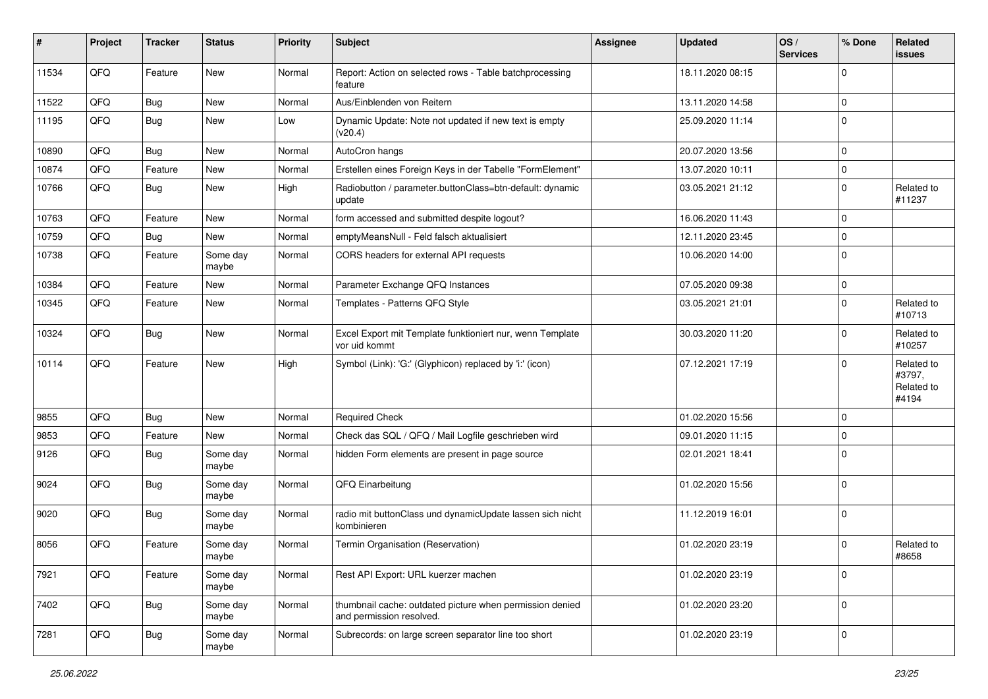| $\sharp$ | Project | <b>Tracker</b> | <b>Status</b>     | <b>Priority</b> | <b>Subject</b>                                                                       | <b>Assignee</b> | <b>Updated</b>   | OS/<br><b>Services</b> | % Done      | Related<br><b>issues</b>                    |
|----------|---------|----------------|-------------------|-----------------|--------------------------------------------------------------------------------------|-----------------|------------------|------------------------|-------------|---------------------------------------------|
| 11534    | QFQ     | Feature        | New               | Normal          | Report: Action on selected rows - Table batchprocessing<br>feature                   |                 | 18.11.2020 08:15 |                        | $\Omega$    |                                             |
| 11522    | QFQ     | Bug            | <b>New</b>        | Normal          | Aus/Einblenden von Reitern                                                           |                 | 13.11.2020 14:58 |                        | $\mathbf 0$ |                                             |
| 11195    | QFQ     | Bug            | <b>New</b>        | Low             | Dynamic Update: Note not updated if new text is empty<br>(v20.4)                     |                 | 25.09.2020 11:14 |                        | $\Omega$    |                                             |
| 10890    | QFQ     | Bug            | <b>New</b>        | Normal          | AutoCron hangs                                                                       |                 | 20.07.2020 13:56 |                        | $\Omega$    |                                             |
| 10874    | QFQ     | Feature        | New               | Normal          | Erstellen eines Foreign Keys in der Tabelle "FormElement"                            |                 | 13.07.2020 10:11 |                        | $\mathbf 0$ |                                             |
| 10766    | QFQ     | Bug            | <b>New</b>        | High            | Radiobutton / parameter.buttonClass=btn-default: dynamic<br>update                   |                 | 03.05.2021 21:12 |                        | $\Omega$    | Related to<br>#11237                        |
| 10763    | QFQ     | Feature        | New               | Normal          | form accessed and submitted despite logout?                                          |                 | 16.06.2020 11:43 |                        | 0           |                                             |
| 10759    | QFQ     | Bug            | <b>New</b>        | Normal          | emptyMeansNull - Feld falsch aktualisiert                                            |                 | 12.11.2020 23:45 |                        | $\mathbf 0$ |                                             |
| 10738    | QFQ     | Feature        | Some day<br>maybe | Normal          | CORS headers for external API requests                                               |                 | 10.06.2020 14:00 |                        | 0           |                                             |
| 10384    | QFQ     | Feature        | <b>New</b>        | Normal          | Parameter Exchange QFQ Instances                                                     |                 | 07.05.2020 09:38 |                        | $\mathbf 0$ |                                             |
| 10345    | QFQ     | Feature        | <b>New</b>        | Normal          | Templates - Patterns QFQ Style                                                       |                 | 03.05.2021 21:01 |                        | $\Omega$    | Related to<br>#10713                        |
| 10324    | QFQ     | Bug            | New               | Normal          | Excel Export mit Template funktioniert nur, wenn Template<br>vor uid kommt           |                 | 30.03.2020 11:20 |                        | 0           | Related to<br>#10257                        |
| 10114    | QFQ     | Feature        | <b>New</b>        | High            | Symbol (Link): 'G:' (Glyphicon) replaced by 'i:' (icon)                              |                 | 07.12.2021 17:19 |                        | $\Omega$    | Related to<br>#3797,<br>Related to<br>#4194 |
| 9855     | QFQ     | <b>Bug</b>     | <b>New</b>        | Normal          | <b>Required Check</b>                                                                |                 | 01.02.2020 15:56 |                        | $\mathbf 0$ |                                             |
| 9853     | QFQ     | Feature        | <b>New</b>        | Normal          | Check das SQL / QFQ / Mail Logfile geschrieben wird                                  |                 | 09.01.2020 11:15 |                        | 0           |                                             |
| 9126     | QFQ     | <b>Bug</b>     | Some day<br>maybe | Normal          | hidden Form elements are present in page source                                      |                 | 02.01.2021 18:41 |                        | 0           |                                             |
| 9024     | QFQ     | <b>Bug</b>     | Some day<br>maybe | Normal          | QFQ Einarbeitung                                                                     |                 | 01.02.2020 15:56 |                        | $\Omega$    |                                             |
| 9020     | QFQ     | <b>Bug</b>     | Some day<br>maybe | Normal          | radio mit buttonClass und dynamicUpdate lassen sich nicht<br>kombinieren             |                 | 11.12.2019 16:01 |                        | $\Omega$    |                                             |
| 8056     | QFQ     | Feature        | Some day<br>maybe | Normal          | Termin Organisation (Reservation)                                                    |                 | 01.02.2020 23:19 |                        | $\Omega$    | Related to<br>#8658                         |
| 7921     | QFQ     | Feature        | Some day<br>maybe | Normal          | Rest API Export: URL kuerzer machen                                                  |                 | 01.02.2020 23:19 |                        | $\mathbf 0$ |                                             |
| 7402     | QFQ     | Bug            | Some day<br>maybe | Normal          | thumbnail cache: outdated picture when permission denied<br>and permission resolved. |                 | 01.02.2020 23:20 |                        | $\mathbf 0$ |                                             |
| 7281     | QFQ     | Bug            | Some day<br>maybe | Normal          | Subrecords: on large screen separator line too short                                 |                 | 01.02.2020 23:19 |                        | 0           |                                             |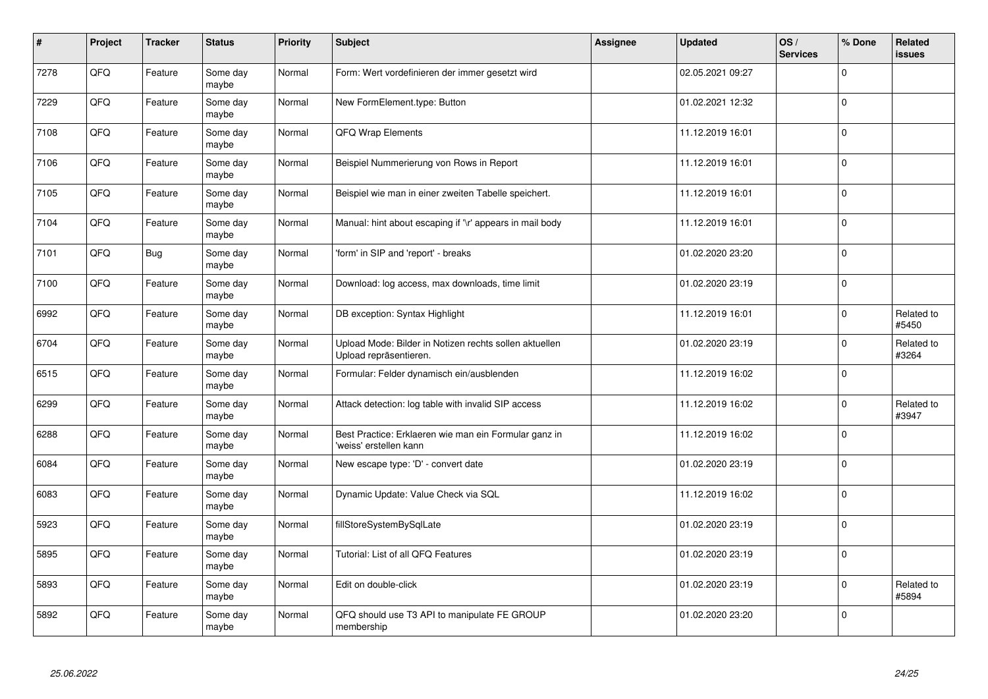| $\sharp$ | Project | <b>Tracker</b> | <b>Status</b>     | Priority | <b>Subject</b>                                                                   | <b>Assignee</b> | <b>Updated</b>   | OS/<br><b>Services</b> | % Done      | Related<br><b>issues</b> |
|----------|---------|----------------|-------------------|----------|----------------------------------------------------------------------------------|-----------------|------------------|------------------------|-------------|--------------------------|
| 7278     | QFQ     | Feature        | Some day<br>maybe | Normal   | Form: Wert vordefinieren der immer gesetzt wird                                  |                 | 02.05.2021 09:27 |                        | $\Omega$    |                          |
| 7229     | QFQ     | Feature        | Some day<br>maybe | Normal   | New FormElement.type: Button                                                     |                 | 01.02.2021 12:32 |                        | $\Omega$    |                          |
| 7108     | QFQ     | Feature        | Some day<br>maybe | Normal   | QFQ Wrap Elements                                                                |                 | 11.12.2019 16:01 |                        | 0           |                          |
| 7106     | QFQ     | Feature        | Some day<br>maybe | Normal   | Beispiel Nummerierung von Rows in Report                                         |                 | 11.12.2019 16:01 |                        | $\Omega$    |                          |
| 7105     | QFQ     | Feature        | Some day<br>maybe | Normal   | Beispiel wie man in einer zweiten Tabelle speichert.                             |                 | 11.12.2019 16:01 |                        | $\mathbf 0$ |                          |
| 7104     | QFQ     | Feature        | Some day<br>maybe | Normal   | Manual: hint about escaping if '\r' appears in mail body                         |                 | 11.12.2019 16:01 |                        | $\mathbf 0$ |                          |
| 7101     | QFQ     | <b>Bug</b>     | Some day<br>maybe | Normal   | 'form' in SIP and 'report' - breaks                                              |                 | 01.02.2020 23:20 |                        | $\Omega$    |                          |
| 7100     | QFQ     | Feature        | Some day<br>maybe | Normal   | Download: log access, max downloads, time limit                                  |                 | 01.02.2020 23:19 |                        | $\Omega$    |                          |
| 6992     | QFQ     | Feature        | Some day<br>maybe | Normal   | DB exception: Syntax Highlight                                                   |                 | 11.12.2019 16:01 |                        | $\Omega$    | Related to<br>#5450      |
| 6704     | QFQ     | Feature        | Some day<br>maybe | Normal   | Upload Mode: Bilder in Notizen rechts sollen aktuellen<br>Upload repräsentieren. |                 | 01.02.2020 23:19 |                        | $\Omega$    | Related to<br>#3264      |
| 6515     | QFQ     | Feature        | Some day<br>maybe | Normal   | Formular: Felder dynamisch ein/ausblenden                                        |                 | 11.12.2019 16:02 |                        | $\Omega$    |                          |
| 6299     | QFQ     | Feature        | Some day<br>maybe | Normal   | Attack detection: log table with invalid SIP access                              |                 | 11.12.2019 16:02 |                        | $\Omega$    | Related to<br>#3947      |
| 6288     | QFQ     | Feature        | Some day<br>maybe | Normal   | Best Practice: Erklaeren wie man ein Formular ganz in<br>'weiss' erstellen kann  |                 | 11.12.2019 16:02 |                        | $\mathbf 0$ |                          |
| 6084     | QFQ     | Feature        | Some day<br>maybe | Normal   | New escape type: 'D' - convert date                                              |                 | 01.02.2020 23:19 |                        | $\Omega$    |                          |
| 6083     | QFQ     | Feature        | Some day<br>maybe | Normal   | Dynamic Update: Value Check via SQL                                              |                 | 11.12.2019 16:02 |                        | $\Omega$    |                          |
| 5923     | QFQ     | Feature        | Some day<br>maybe | Normal   | fillStoreSystemBySqlLate                                                         |                 | 01.02.2020 23:19 |                        | $\Omega$    |                          |
| 5895     | QFQ     | Feature        | Some day<br>maybe | Normal   | Tutorial: List of all QFQ Features                                               |                 | 01.02.2020 23:19 |                        | $\mathbf 0$ |                          |
| 5893     | QFQ     | Feature        | Some day<br>maybe | Normal   | Edit on double-click                                                             |                 | 01.02.2020 23:19 |                        | $\Omega$    | Related to<br>#5894      |
| 5892     | QFQ     | Feature        | Some day<br>maybe | Normal   | QFQ should use T3 API to manipulate FE GROUP<br>membership                       |                 | 01.02.2020 23:20 |                        | $\Omega$    |                          |